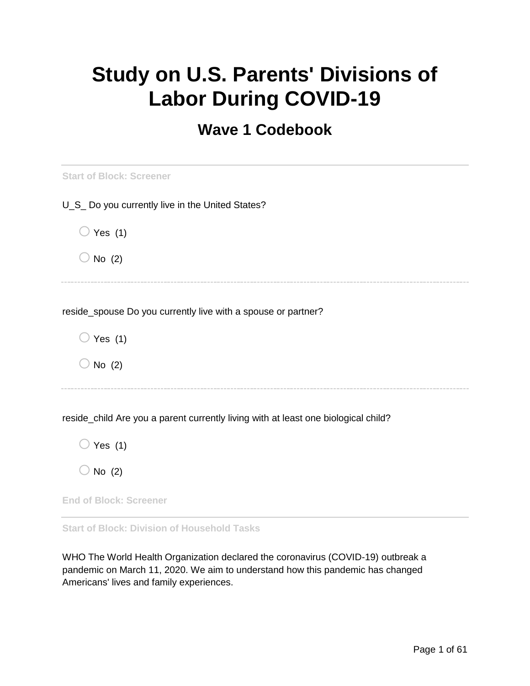# **Study on U.S. Parents' Divisions of Labor During COVID-19**

# **Wave 1 Codebook**

| <b>Start of Block: Screener</b>                                                    |
|------------------------------------------------------------------------------------|
| U_S_ Do you currently live in the United States?                                   |
| Yes $(1)$                                                                          |
| No $(2)$                                                                           |
|                                                                                    |
| reside_spouse Do you currently live with a spouse or partner?                      |
| Yes $(1)$                                                                          |
| No $(2)$                                                                           |
|                                                                                    |
| reside_child Are you a parent currently living with at least one biological child? |
| Yes $(1)$                                                                          |
| No $(2)$                                                                           |
| <b>End of Block: Screener</b>                                                      |

**Start of Block: Division of Household Tasks**

WHO The World Health Organization declared the coronavirus (COVID-19) outbreak a pandemic on March 11, 2020. We aim to understand how this pandemic has changed Americans' lives and family experiences.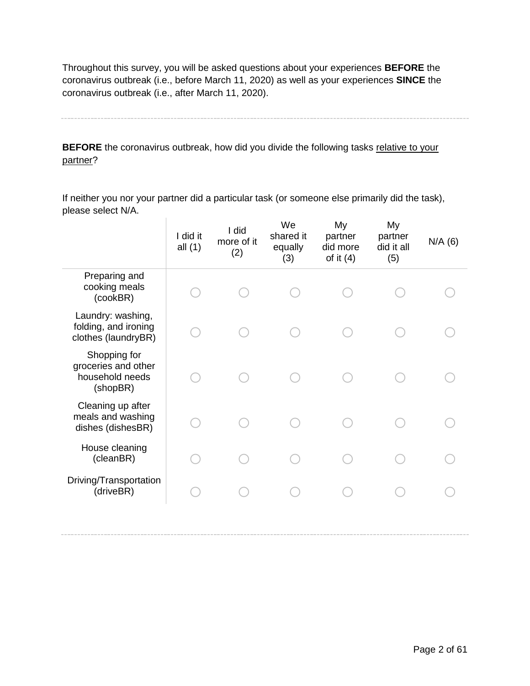Throughout this survey, you will be asked questions about your experiences **BEFORE** the coronavirus outbreak (i.e., before March 11, 2020) as well as your experiences **SINCE** the coronavirus outbreak (i.e., after March 11, 2020).

**BEFORE** the coronavirus outbreak, how did you divide the following tasks relative to your partner?

If neither you nor your partner did a particular task (or someone else primarily did the task), please select N/A.

|                                                                    | I did it<br>all $(1)$ | I did<br>more of it<br>(2) | We<br>shared it<br>equally<br>(3) | My<br>partner<br>did more<br>of it $(4)$ | My<br>partner<br>did it all<br>(5) | N/A(6) |
|--------------------------------------------------------------------|-----------------------|----------------------------|-----------------------------------|------------------------------------------|------------------------------------|--------|
| Preparing and<br>cooking meals<br>(cookBR)                         |                       |                            |                                   |                                          |                                    |        |
| Laundry: washing,<br>folding, and ironing<br>clothes (laundryBR)   |                       |                            |                                   |                                          |                                    |        |
| Shopping for<br>groceries and other<br>household needs<br>(shopBR) |                       |                            |                                   |                                          |                                    |        |
| Cleaning up after<br>meals and washing<br>dishes (dishesBR)        |                       |                            |                                   |                                          |                                    |        |
| House cleaning<br>(cleanBR)                                        |                       |                            |                                   |                                          |                                    |        |
| Driving/Transportation<br>(driveBR)                                |                       |                            |                                   |                                          |                                    |        |
|                                                                    |                       |                            |                                   |                                          |                                    |        |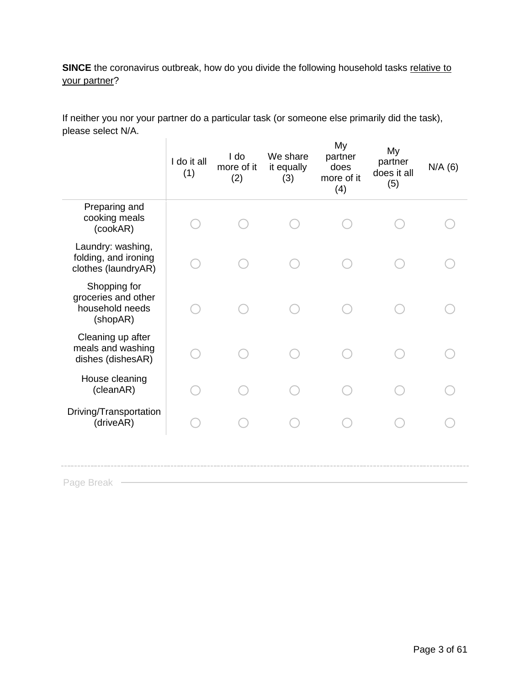**SINCE** the coronavirus outbreak, how do you divide the following household tasks relative to your partner?

If neither you nor your partner do a particular task (or someone else primarily did the task), please select N/A.  $\mathbf{r}$ 

|                                                                    | I do it all<br>(1) | I do<br>more of it<br>(2) | We share<br>it equally<br>(3) | My<br>partner<br>does<br>more of it<br>(4) | My<br>partner<br>does it all<br>(5) | N/A(6) |
|--------------------------------------------------------------------|--------------------|---------------------------|-------------------------------|--------------------------------------------|-------------------------------------|--------|
| Preparing and<br>cooking meals<br>(cookAR)                         |                    |                           |                               |                                            |                                     |        |
| Laundry: washing,<br>folding, and ironing<br>clothes (laundryAR)   |                    |                           |                               |                                            |                                     |        |
| Shopping for<br>groceries and other<br>household needs<br>(shopAR) |                    |                           |                               |                                            |                                     |        |
| Cleaning up after<br>meals and washing<br>dishes (dishesAR)        |                    |                           |                               |                                            |                                     |        |
| House cleaning<br>(cleanAR)                                        |                    |                           |                               |                                            |                                     |        |
| Driving/Transportation<br>(driveAR)                                |                    |                           |                               |                                            |                                     |        |
|                                                                    |                    |                           |                               |                                            |                                     |        |
|                                                                    |                    |                           |                               |                                            |                                     |        |

Page Break –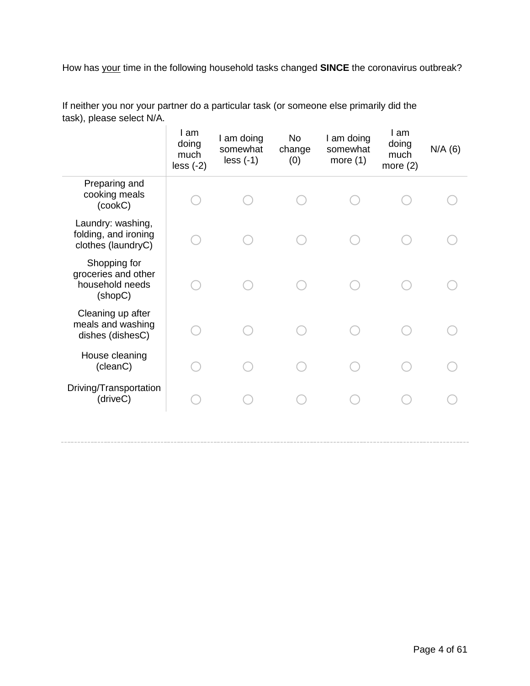How has your time in the following household tasks changed **SINCE** the coronavirus outbreak?

|                                                                   | I am<br>doing<br>much<br>$less (-2)$ | I am doing<br>somewhat<br>$less (-1)$ | <b>No</b><br>change<br>(0) | I am doing<br>somewhat<br>more $(1)$ | I am<br>doing<br>much<br>more $(2)$ | N/A(6) |
|-------------------------------------------------------------------|--------------------------------------|---------------------------------------|----------------------------|--------------------------------------|-------------------------------------|--------|
| Preparing and<br>cooking meals<br>(cookC)                         |                                      |                                       |                            |                                      |                                     |        |
| Laundry: washing,<br>folding, and ironing<br>clothes (laundryC)   |                                      |                                       |                            |                                      |                                     |        |
| Shopping for<br>groceries and other<br>household needs<br>(shopC) |                                      |                                       |                            |                                      |                                     |        |
| Cleaning up after<br>meals and washing<br>dishes (dishesC)        |                                      |                                       |                            |                                      |                                     |        |
| House cleaning<br>(cleanC)                                        |                                      |                                       |                            |                                      |                                     |        |
| Driving/Transportation<br>(driveC)                                |                                      |                                       |                            |                                      |                                     |        |
|                                                                   |                                      |                                       |                            |                                      |                                     |        |

If neither you nor your partner do a particular task (or someone else primarily did the task), please select N/A.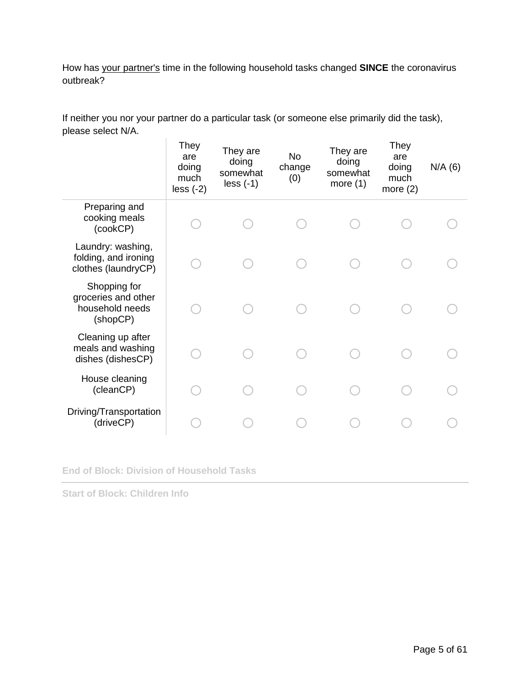How has your partner's time in the following household tasks changed **SINCE** the coronavirus outbreak?

If neither you nor your partner do a particular task (or someone else primarily did the task), please select N/A.

|                                                                    | They<br>are<br>doing<br>much<br>$less (-2)$ | They are<br>doing<br>somewhat<br>$less (-1)$ | <b>No</b><br>change<br>(0) | They are<br>doing<br>somewhat<br>more $(1)$ | They<br>are<br>doing<br>much<br>more $(2)$ | N/A(6) |
|--------------------------------------------------------------------|---------------------------------------------|----------------------------------------------|----------------------------|---------------------------------------------|--------------------------------------------|--------|
| Preparing and<br>cooking meals<br>(cookCP)                         |                                             |                                              |                            |                                             |                                            |        |
| Laundry: washing,<br>folding, and ironing<br>clothes (laundryCP)   |                                             |                                              |                            |                                             |                                            |        |
| Shopping for<br>groceries and other<br>household needs<br>(shopCP) |                                             |                                              |                            |                                             |                                            |        |
| Cleaning up after<br>meals and washing<br>dishes (dishesCP)        |                                             |                                              |                            |                                             |                                            |        |
| House cleaning<br>(cleanCP)                                        |                                             |                                              |                            |                                             |                                            |        |
| Driving/Transportation<br>(driveCP)                                |                                             |                                              |                            |                                             |                                            |        |

**End of Block: Division of Household Tasks**

**Start of Block: Children Info**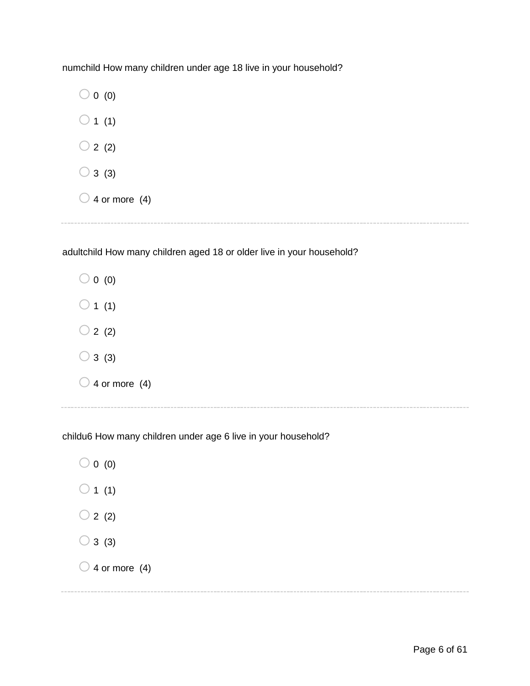numchild How many children under age 18 live in your household?

 $\bigcirc$  0 (0)  $\bigcirc$  1 (1)  $\bigcirc$  2 (2)  $\bigcirc$  3 (3)  $\bigcirc$  4 or more (4)

adultchild How many children aged 18 or older live in your household?

 $\bigcirc$  0 (0)  $\bigcirc$  1 (1)  $\bigcirc$  2 (2)  $\bigcirc$  3 (3)  $\bigcirc$  4 or more (4)

childu6 How many children under age 6 live in your household?

 $\bigcirc$  0 (0)  $\bigcirc$  1 (1)  $\bigcirc$  2 (2)  $\bigcirc$  3 (3)  $\bigcirc$  4 or more (4)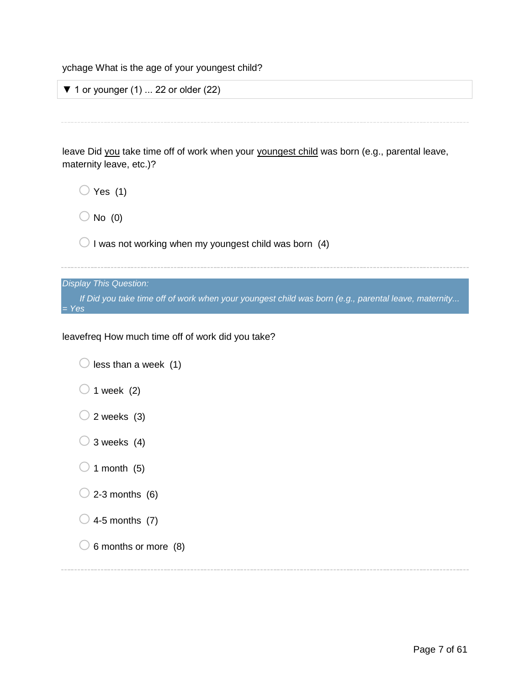ychage What is the age of your youngest child?

▼ 1 or younger (1) ... 22 or older (22)

leave Did you take time off of work when your youngest child was born (e.g., parental leave, maternity leave, etc.)?

 $\bigcirc$  Yes (1)

 $\bigcirc$  No (0)

 $\bigcirc$  I was not working when my youngest child was born (4)

#### *Display This Question:*

*If Did you take time off of work when your youngest child was born (e.g., parental leave, maternity... = Yes*

leavefreq How much time off of work did you take?

| $\cup$ less than a week (1)     |
|---------------------------------|
| $\bigcirc$ 1 week (2)           |
| $\bigcirc$ 2 weeks (3)          |
| $\bigcirc$ 3 weeks (4)          |
| $\bigcirc$ 1 month (5)          |
| $\bigcirc$ 2-3 months (6)       |
| $\bigcirc$ 4-5 months (7)       |
| $\bigcirc$ 6 months or more (8) |
|                                 |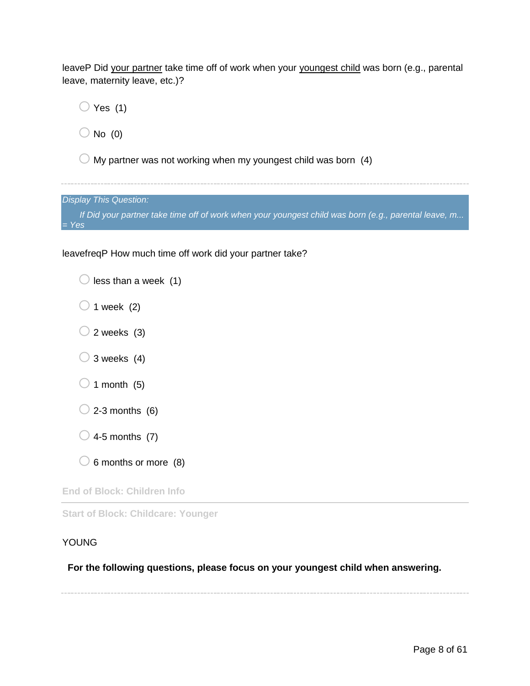leaveP Did your partner take time off of work when your youngest child was born (e.g., parental leave, maternity leave, etc.)?

 $\bigcirc$  Yes (1)

 $\bigcirc$  No (0)

 $\bigcirc$  My partner was not working when my youngest child was born (4)

*Display This Question:*

*= Yes*

*If Did your partner take time off of work when your youngest child was born (e.g., parental leave, m...* 

leavefreqP How much time off work did your partner take?

| $\bigcirc$ less than a week (1) |
|---------------------------------|
| $\bigcirc$ 1 week (2)           |
| $\bigcirc$ 2 weeks (3)          |
| $\bigcirc$ 3 weeks (4)          |
| $\bigcirc$ 1 month (5)          |
| $\bigcirc$ 2-3 months (6)       |
| $\bigcirc$ 4-5 months (7)       |

 $\bigcirc$  6 months or more (8)

**End of Block: Children Info**

**Start of Block: Childcare: Younger**

#### YOUNG

**For the following questions, please focus on your youngest child when answering.**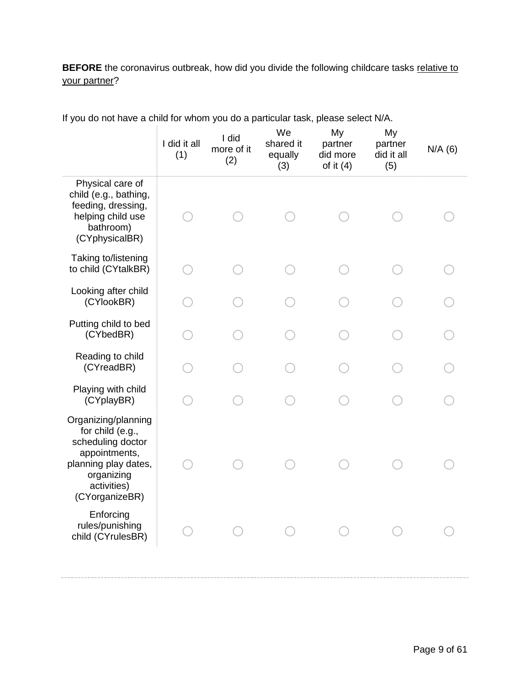**BEFORE** the coronavirus outbreak, how did you divide the following childcare tasks relative to your partner?

|                                                                                                                                                      | I did it all<br>(1) | I did<br>more of it<br>(2) | We<br>shared it<br>equally<br>(3) | My<br>partner<br>did more<br>of it $(4)$ | My<br>partner<br>did it all<br>(5) | N/A(6) |
|------------------------------------------------------------------------------------------------------------------------------------------------------|---------------------|----------------------------|-----------------------------------|------------------------------------------|------------------------------------|--------|
| Physical care of<br>child (e.g., bathing,<br>feeding, dressing,<br>helping child use<br>bathroom)<br>(CYphysicalBR)                                  |                     |                            |                                   |                                          |                                    |        |
| Taking to/listening<br>to child (CYtalkBR)                                                                                                           |                     |                            |                                   |                                          |                                    |        |
| Looking after child<br>(CYlookBR)                                                                                                                    |                     |                            |                                   |                                          |                                    |        |
| Putting child to bed<br>(CYbedBR)                                                                                                                    |                     |                            |                                   |                                          |                                    |        |
| Reading to child<br>(CYreadBR)                                                                                                                       |                     |                            |                                   |                                          |                                    |        |
| Playing with child<br>(CYplayBR)                                                                                                                     |                     |                            |                                   |                                          |                                    |        |
| Organizing/planning<br>for child (e.g.,<br>scheduling doctor<br>appointments,<br>planning play dates,<br>organizing<br>activities)<br>(CYorganizeBR) |                     |                            |                                   |                                          |                                    |        |
| Enforcing<br>rules/punishing<br>child (CYrulesBR)                                                                                                    |                     |                            |                                   |                                          |                                    |        |

If you do not have a child for whom you do a particular task, please select N/A.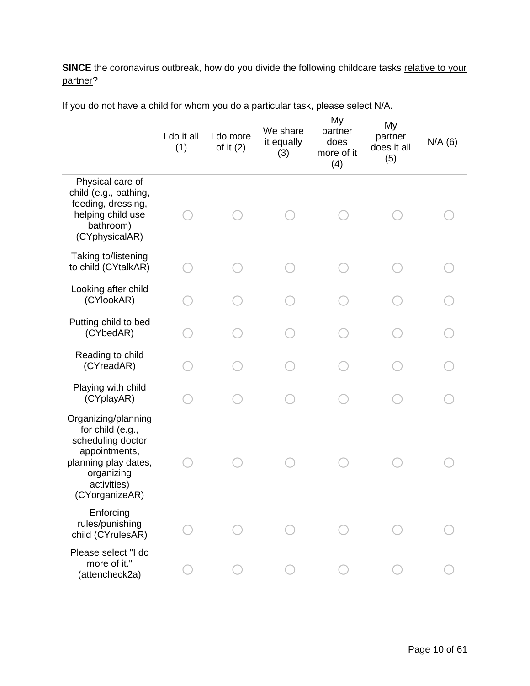SINCE the coronavirus outbreak, how do you divide the following childcare tasks relative to your partner?

|                                                                                                                                                      | I do it all<br>(1) | I do more<br>of it $(2)$ | We share<br>it equally<br>(3) | My<br>partner<br>does<br>more of it<br>(4) | My<br>partner<br>does it all<br>(5) | N/A(6) |
|------------------------------------------------------------------------------------------------------------------------------------------------------|--------------------|--------------------------|-------------------------------|--------------------------------------------|-------------------------------------|--------|
| Physical care of<br>child (e.g., bathing,<br>feeding, dressing,<br>helping child use<br>bathroom)<br>(CYphysicalAR)                                  |                    |                          |                               |                                            |                                     |        |
| Taking to/listening<br>to child (CYtalkAR)                                                                                                           |                    |                          |                               |                                            |                                     |        |
| Looking after child<br>(CYlookAR)                                                                                                                    |                    |                          |                               |                                            |                                     |        |
| Putting child to bed<br>(CYbedAR)                                                                                                                    |                    |                          |                               |                                            |                                     |        |
| Reading to child<br>(CYreadAR)                                                                                                                       |                    |                          |                               |                                            |                                     |        |
| Playing with child<br>(CYplayAR)                                                                                                                     |                    |                          |                               |                                            |                                     |        |
| Organizing/planning<br>for child (e.g.,<br>scheduling doctor<br>appointments,<br>planning play dates,<br>organizing<br>activities)<br>(CYorganizeAR) |                    |                          |                               |                                            |                                     |        |
| Enforcing<br>rules/punishing<br>child (CYrulesAR)                                                                                                    |                    |                          |                               |                                            |                                     |        |
| Please select "I do<br>more of it."<br>(attencheck2a)                                                                                                |                    |                          |                               |                                            |                                     |        |

If you do not have a child for whom you do a particular task, please select N/A.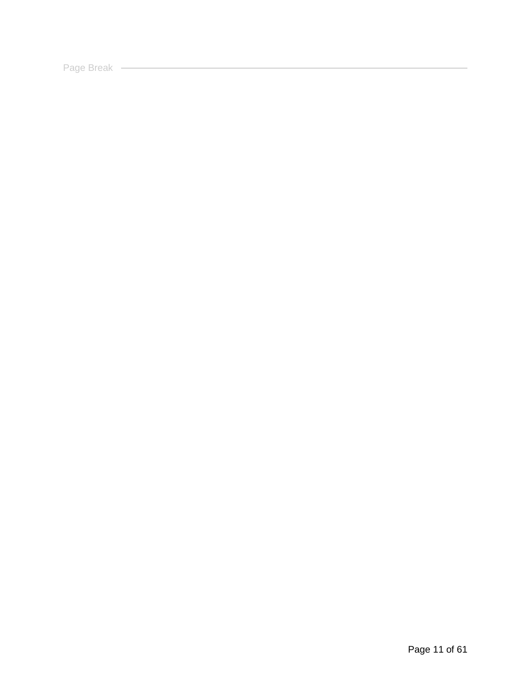Page Break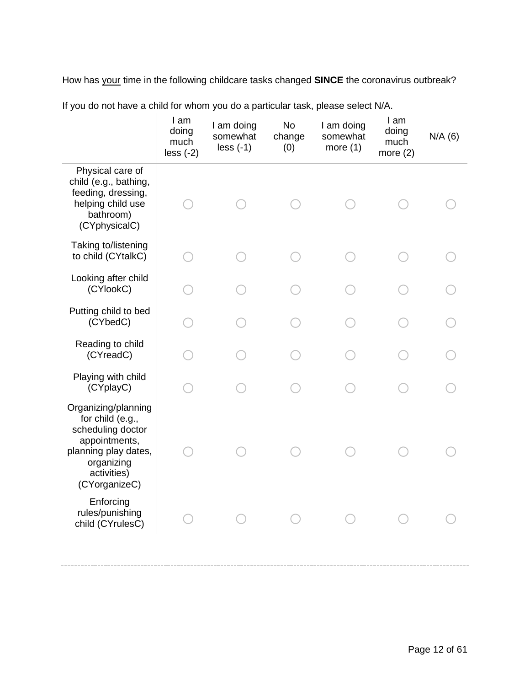How has your time in the following childcare tasks changed **SINCE** the coronavirus outbreak?

|                                                                                                                                                     | I am<br>doing<br>much<br>$less (-2)$ | I am doing<br>somewhat<br>$less (-1)$ | No<br>change<br>(0) | I am doing<br>somewhat<br>more $(1)$ | I am<br>doing<br>much<br>more $(2)$ | N/A(6) |
|-----------------------------------------------------------------------------------------------------------------------------------------------------|--------------------------------------|---------------------------------------|---------------------|--------------------------------------|-------------------------------------|--------|
| Physical care of<br>child (e.g., bathing,<br>feeding, dressing,<br>helping child use<br>bathroom)<br>(CYphysicalC)                                  |                                      |                                       |                     |                                      |                                     |        |
| Taking to/listening<br>to child (CYtalkC)                                                                                                           |                                      |                                       |                     |                                      |                                     |        |
| Looking after child<br>(CYlookC)                                                                                                                    |                                      |                                       |                     |                                      |                                     |        |
| Putting child to bed<br>(CYbedC)                                                                                                                    |                                      |                                       |                     |                                      |                                     |        |
| Reading to child<br>(CYreadC)                                                                                                                       |                                      |                                       |                     |                                      |                                     |        |
| Playing with child<br>(CYplayC)                                                                                                                     |                                      |                                       |                     |                                      |                                     |        |
| Organizing/planning<br>for child (e.g.,<br>scheduling doctor<br>appointments,<br>planning play dates,<br>organizing<br>activities)<br>(CYorganizeC) |                                      |                                       |                     |                                      |                                     |        |
| Enforcing<br>rules/punishing<br>child (CYrulesC)                                                                                                    |                                      |                                       |                     |                                      |                                     |        |

If you do not have a child for whom you do a particular task, please select N/A.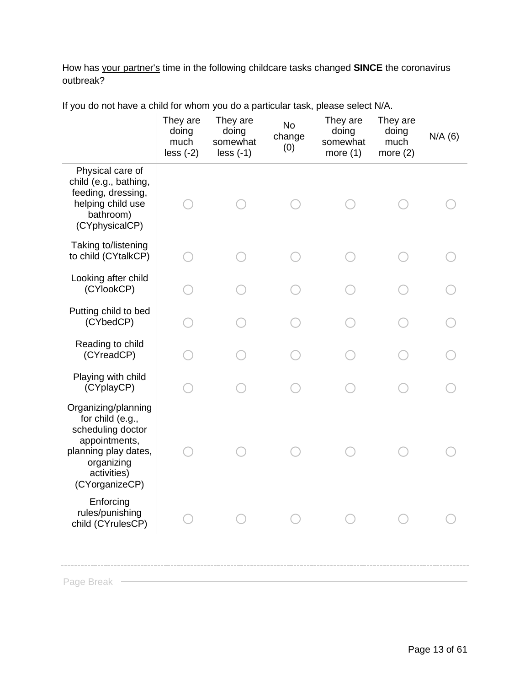How has your partner's time in the following childcare tasks changed **SINCE** the coronavirus outbreak?

If you do not have a child for whom you do a particular task, please select N/A.

|                                                                                                                                                      | They are<br>doing<br>much<br>$less (-2)$ | They are<br>doing<br>somewhat<br>$less (-1)$ | No<br>change<br>(0) | They are<br>doing<br>somewhat<br>more $(1)$ | They are<br>doing<br>much<br>more $(2)$ | N/A(6) |
|------------------------------------------------------------------------------------------------------------------------------------------------------|------------------------------------------|----------------------------------------------|---------------------|---------------------------------------------|-----------------------------------------|--------|
| Physical care of<br>child (e.g., bathing,<br>feeding, dressing,<br>helping child use<br>bathroom)<br>(CYphysicalCP)                                  |                                          |                                              |                     |                                             |                                         |        |
| Taking to/listening<br>to child (CYtalkCP)                                                                                                           |                                          |                                              |                     |                                             |                                         |        |
| Looking after child<br>(CYlookCP)                                                                                                                    |                                          |                                              |                     |                                             |                                         |        |
| Putting child to bed<br>(CYbedCP)                                                                                                                    |                                          |                                              |                     |                                             |                                         |        |
| Reading to child<br>(CYreadCP)                                                                                                                       |                                          |                                              |                     |                                             |                                         |        |
| Playing with child<br>(CYplayCP)                                                                                                                     |                                          |                                              |                     |                                             |                                         |        |
| Organizing/planning<br>for child (e.g.,<br>scheduling doctor<br>appointments,<br>planning play dates,<br>organizing<br>activities)<br>(CYorganizeCP) |                                          |                                              |                     |                                             |                                         |        |
| Enforcing<br>rules/punishing<br>child (CYrulesCP)                                                                                                    |                                          |                                              |                     |                                             |                                         |        |
|                                                                                                                                                      |                                          |                                              |                     |                                             |                                         |        |

Page Break ––––––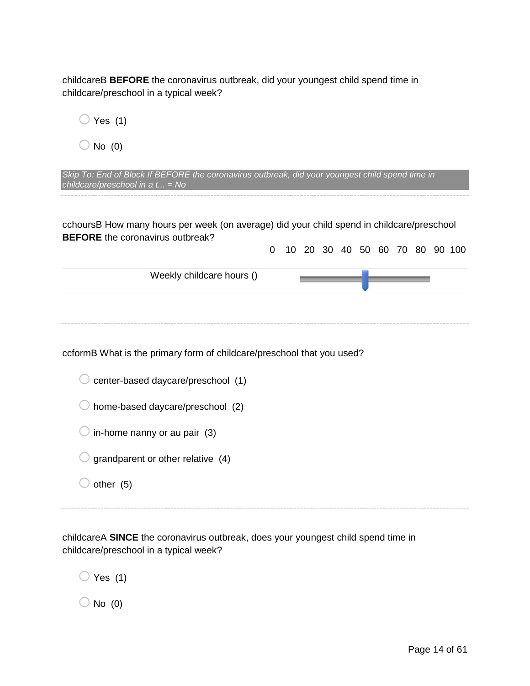childcareB **BEFORE** the coronavirus outbreak, did your youngest child spend time in childcare/preschool in a typical week?

| Yes $(1)$                                                                                                                                                                          |  |  |  |  |  |  |  |  |  |  |  |
|------------------------------------------------------------------------------------------------------------------------------------------------------------------------------------|--|--|--|--|--|--|--|--|--|--|--|
| No(0)                                                                                                                                                                              |  |  |  |  |  |  |  |  |  |  |  |
| Skip To: End of Block If BEFORE the coronavirus outbreak, did your youngest child spend time in<br>childcare/preschool in a $t = No$                                               |  |  |  |  |  |  |  |  |  |  |  |
| cchoursB How many hours per week (on average) did your child spend in childcare/preschool<br><b>BEFORE</b> the coronavirus outbreak?<br>10 20 30 40 50 60 70 80 90 100<br>$\Omega$ |  |  |  |  |  |  |  |  |  |  |  |
| Weekly childcare hours ()                                                                                                                                                          |  |  |  |  |  |  |  |  |  |  |  |
|                                                                                                                                                                                    |  |  |  |  |  |  |  |  |  |  |  |
|                                                                                                                                                                                    |  |  |  |  |  |  |  |  |  |  |  |
| ccformB What is the primary form of childcare/preschool that you used?                                                                                                             |  |  |  |  |  |  |  |  |  |  |  |
| center-based daycare/preschool (1)                                                                                                                                                 |  |  |  |  |  |  |  |  |  |  |  |
| home-based daycare/preschool (2)                                                                                                                                                   |  |  |  |  |  |  |  |  |  |  |  |
| in-home nanny or au pair (3)                                                                                                                                                       |  |  |  |  |  |  |  |  |  |  |  |
| grandparent or other relative (4)                                                                                                                                                  |  |  |  |  |  |  |  |  |  |  |  |
| other (5)                                                                                                                                                                          |  |  |  |  |  |  |  |  |  |  |  |

childcareA **SINCE** the coronavirus outbreak, does your youngest child spend time in childcare/preschool in a typical week?

 $\bigcirc$  Yes (1)

 $\bigcirc$  No (0)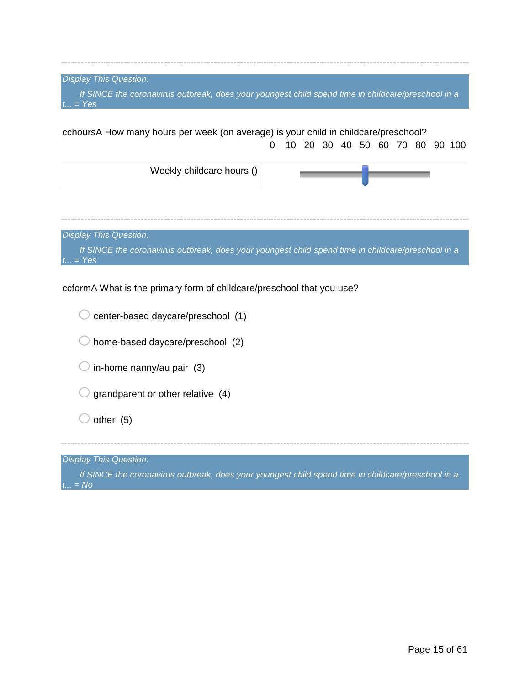*Display This Question: If SINCE the coronavirus outbreak, does your youngest child spend time in childcare/preschool in a t... = Yes* cchoursA How many hours per week (on average) is your child in childcare/preschool? 0 10 20 30 40 50 60 70 80 90 100

| Weekly childcare hours ()                                  |                                                                                                    |
|------------------------------------------------------------|----------------------------------------------------------------------------------------------------|
|                                                            |                                                                                                    |
| <b>Display This Question:</b><br>$t_{\cdots} = Y_{\rm CS}$ | If SINCE the coronavirus outbreak, does your youngest child spend time in childcare/preschool in a |

ccformA What is the primary form of childcare/preschool that you use?

 $\bigcirc$  center-based daycare/preschool (1)

 $\bigcirc$  home-based daycare/preschool (2)

 $\bigcirc$  in-home nanny/au pair (3)

 $\bigcirc$  grandparent or other relative (4)

 $\bigcirc$  other (5)

*Display This Question:*

*If SINCE the coronavirus outbreak, does your youngest child spend time in childcare/preschool in a*   $N$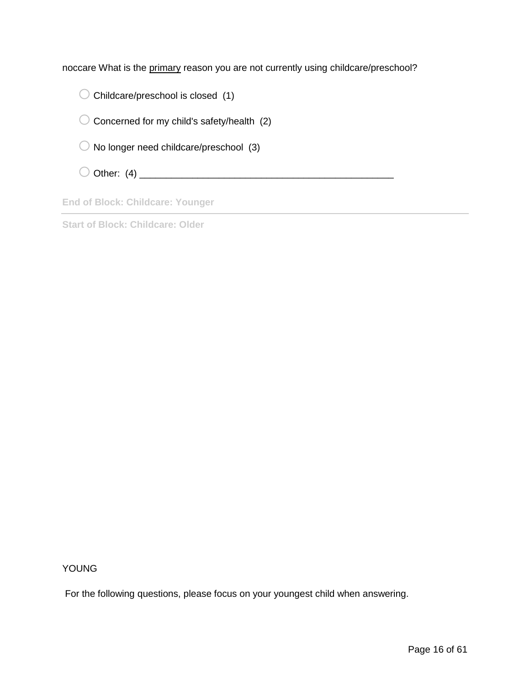noccare What is the primary reason you are not currently using childcare/preschool?

| $\bigcirc$ Childcare/preschool is closed (1) |  |
|----------------------------------------------|--|

 $\bigcirc$  Concerned for my child's safety/health (2)

 $\bigcirc$  No longer need childcare/preschool (3)

o Other: (4) \_\_\_\_\_\_\_\_\_\_\_\_\_\_\_\_\_\_\_\_\_\_\_\_\_\_\_\_\_\_\_\_\_\_\_\_\_\_\_\_\_\_\_\_\_\_\_\_

**End of Block: Childcare: Younger**

**Start of Block: Childcare: Older**

YOUNG

For the following questions, please focus on your youngest child when answering.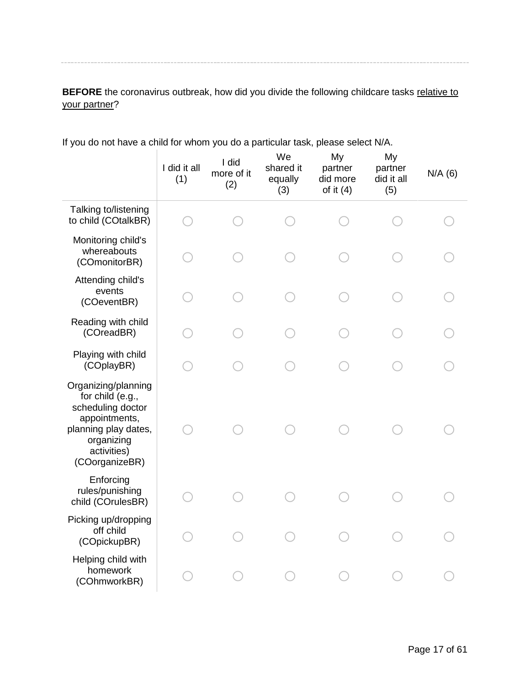# **BEFORE** the coronavirus outbreak, how did you divide the following childcare tasks relative to your partner?

If you do not have a child for whom you do a particular task, please select N/A.

|                                                                                                                                                      | I did it all<br>(1) | I did<br>more of it<br>(2) | We<br>shared it<br>equally<br>(3) | My<br>partner<br>did more<br>of it $(4)$ | My<br>partner<br>did it all<br>(5) | N/A(6) |
|------------------------------------------------------------------------------------------------------------------------------------------------------|---------------------|----------------------------|-----------------------------------|------------------------------------------|------------------------------------|--------|
| Talking to/listening<br>to child (COtalkBR)                                                                                                          |                     |                            |                                   |                                          |                                    |        |
| Monitoring child's<br>whereabouts<br>(COmonitorBR)                                                                                                   |                     |                            |                                   |                                          |                                    |        |
| Attending child's<br>events<br>(COeventBR)                                                                                                           |                     |                            |                                   |                                          |                                    |        |
| Reading with child<br>(COreadBR)                                                                                                                     |                     |                            |                                   |                                          |                                    |        |
| Playing with child<br>(COplayBR)                                                                                                                     |                     |                            |                                   |                                          |                                    |        |
| Organizing/planning<br>for child (e.g.,<br>scheduling doctor<br>appointments,<br>planning play dates,<br>organizing<br>activities)<br>(COorganizeBR) |                     |                            |                                   |                                          |                                    |        |
| Enforcing<br>rules/punishing<br>child (COrulesBR)                                                                                                    |                     |                            |                                   |                                          |                                    |        |
| Picking up/dropping<br>off child<br>(COpickupBR)                                                                                                     |                     |                            |                                   |                                          |                                    |        |
| Helping child with<br>homework<br>(COhmworkBR)                                                                                                       |                     |                            |                                   |                                          |                                    |        |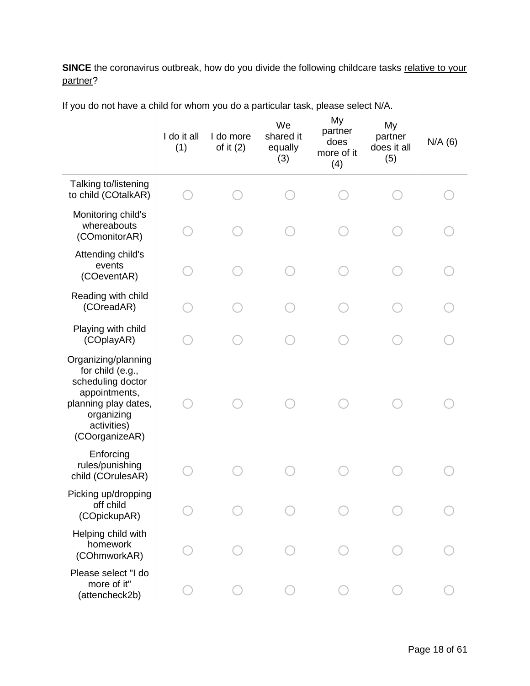**SINCE** the coronavirus outbreak, how do you divide the following childcare tasks relative to your partner?

|                                                                                                                                                      | I do it all<br>(1) | I do more<br>of it $(2)$ | We<br>shared it<br>equally<br>(3) | My<br>partner<br>does<br>more of it<br>(4) | My<br>partner<br>does it all<br>(5) | N/A(6) |
|------------------------------------------------------------------------------------------------------------------------------------------------------|--------------------|--------------------------|-----------------------------------|--------------------------------------------|-------------------------------------|--------|
| Talking to/listening<br>to child (COtalkAR)                                                                                                          |                    |                          |                                   |                                            |                                     |        |
| Monitoring child's<br>whereabouts<br>(COmonitorAR)                                                                                                   |                    |                          |                                   |                                            |                                     |        |
| Attending child's<br>events<br>(COeventAR)                                                                                                           |                    |                          |                                   |                                            |                                     |        |
| Reading with child<br>(COreadAR)                                                                                                                     |                    |                          |                                   |                                            |                                     |        |
| Playing with child<br>(COplayAR)                                                                                                                     |                    |                          |                                   |                                            |                                     |        |
| Organizing/planning<br>for child (e.g.,<br>scheduling doctor<br>appointments,<br>planning play dates,<br>organizing<br>activities)<br>(COorganizeAR) |                    |                          |                                   |                                            |                                     |        |
| Enforcing<br>rules/punishing<br>child (COrulesAR)                                                                                                    |                    |                          |                                   |                                            |                                     |        |
| Picking up/dropping<br>off child<br>(COpickupAR)                                                                                                     |                    |                          |                                   |                                            |                                     |        |
| Helping child with<br>homework<br>(COhmworkAR)                                                                                                       |                    |                          |                                   |                                            |                                     |        |
| Please select "I do<br>more of it"<br>(attencheck2b)                                                                                                 |                    |                          |                                   |                                            |                                     |        |

If you do not have a child for whom you do a particular task, please select N/A.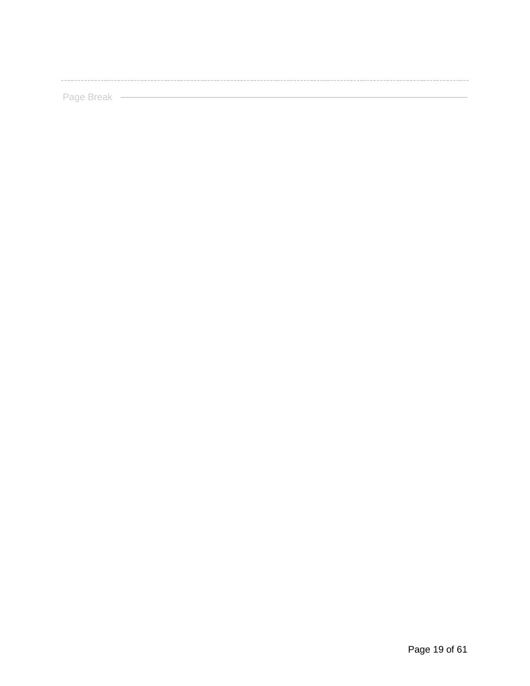Page Break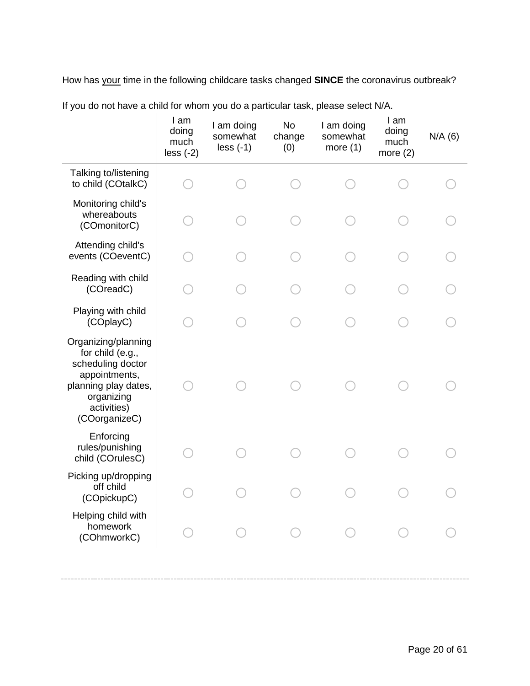How has your time in the following childcare tasks changed **SINCE** the coronavirus outbreak?

|                                                                                                                                                     | I am<br>doing<br>much<br>$less (-2)$ | I am doing<br>somewhat<br>$less (-1)$ | No<br>change<br>(0) | I am doing<br>somewhat<br>more $(1)$ | I am<br>doing<br>much<br>more $(2)$ | N/A(6) |
|-----------------------------------------------------------------------------------------------------------------------------------------------------|--------------------------------------|---------------------------------------|---------------------|--------------------------------------|-------------------------------------|--------|
| Talking to/listening<br>to child (COtalkC)                                                                                                          |                                      |                                       |                     |                                      |                                     |        |
| Monitoring child's<br>whereabouts<br>(COmonitorC)                                                                                                   |                                      |                                       |                     |                                      |                                     |        |
| Attending child's<br>events (COeventC)                                                                                                              |                                      |                                       |                     |                                      |                                     |        |
| Reading with child<br>(COreadC)                                                                                                                     |                                      |                                       |                     |                                      |                                     |        |
| Playing with child<br>(COplayC)                                                                                                                     |                                      |                                       |                     |                                      |                                     |        |
| Organizing/planning<br>for child (e.g.,<br>scheduling doctor<br>appointments,<br>planning play dates,<br>organizing<br>activities)<br>(COorganizeC) |                                      |                                       |                     |                                      |                                     |        |
| Enforcing<br>rules/punishing<br>child (COrulesC)                                                                                                    |                                      |                                       |                     |                                      |                                     |        |
| Picking up/dropping<br>off child<br>(COpickupC)                                                                                                     |                                      |                                       |                     |                                      |                                     |        |
| Helping child with<br>homework<br>(COhmworkC)                                                                                                       |                                      |                                       |                     |                                      |                                     |        |
|                                                                                                                                                     |                                      |                                       |                     |                                      |                                     |        |

If you do not have a child for whom you do a particular task, please select N/A.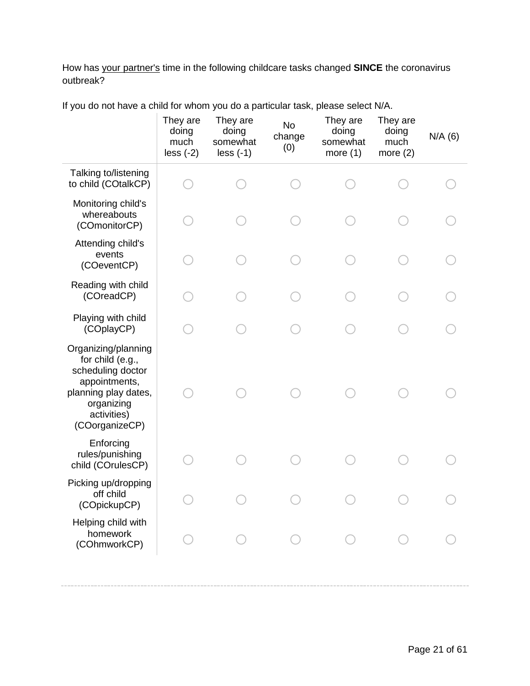How has your partner's time in the following childcare tasks changed **SINCE** the coronavirus outbreak?

| If you do not have a child for whom you do a particular task, please select N/A. |
|----------------------------------------------------------------------------------|
|----------------------------------------------------------------------------------|

|                                                                                                                                                      | They are<br>doing<br>much<br>$less (-2)$ | They are<br>doing<br>somewhat<br>$less (-1)$ | No<br>change<br>(0) | They are<br>doing<br>somewhat<br>more $(1)$ | They are<br>doing<br>much<br>more $(2)$ | N/A(6) |
|------------------------------------------------------------------------------------------------------------------------------------------------------|------------------------------------------|----------------------------------------------|---------------------|---------------------------------------------|-----------------------------------------|--------|
| Talking to/listening<br>to child (COtalkCP)                                                                                                          |                                          |                                              |                     |                                             |                                         |        |
| Monitoring child's<br>whereabouts<br>(COmonitorCP)                                                                                                   |                                          |                                              |                     |                                             |                                         |        |
| Attending child's<br>events<br>(COeventCP)                                                                                                           |                                          |                                              |                     |                                             |                                         |        |
| Reading with child<br>(COreadCP)                                                                                                                     |                                          |                                              |                     |                                             |                                         |        |
| Playing with child<br>(COplayCP)                                                                                                                     |                                          |                                              |                     |                                             |                                         |        |
| Organizing/planning<br>for child (e.g.,<br>scheduling doctor<br>appointments,<br>planning play dates,<br>organizing<br>activities)<br>(COorganizeCP) |                                          |                                              |                     |                                             |                                         |        |
| Enforcing<br>rules/punishing<br>child (COrulesCP)                                                                                                    |                                          |                                              |                     |                                             |                                         |        |
| Picking up/dropping<br>off child<br>(COpickupCP)                                                                                                     |                                          |                                              |                     |                                             |                                         |        |
| Helping child with<br>homework<br>(COhmworkCP)                                                                                                       |                                          |                                              |                     |                                             |                                         |        |
|                                                                                                                                                      |                                          |                                              |                     |                                             |                                         |        |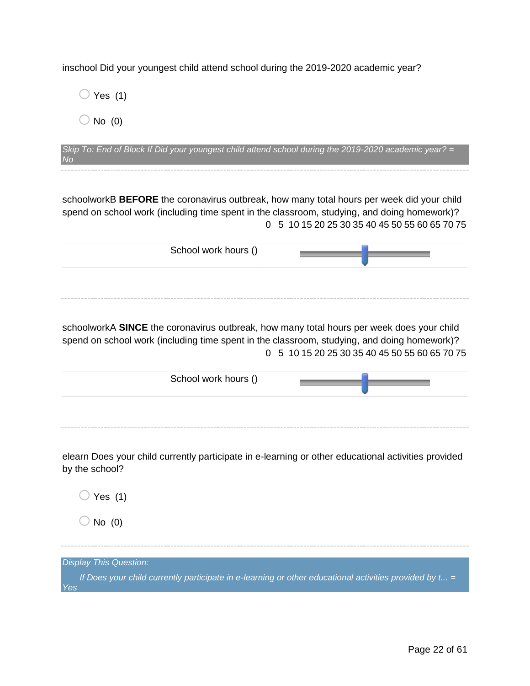inschool Did your youngest child attend school during the 2019-2020 academic year?

 $\bigcirc$  Yes (1)

 $\bigcirc$  No (0)

|    | Skip To: End of Block If Did your youngest child attend school during the 2019-2020 academic year? = $\frac{1}{2}$ |  |  |
|----|--------------------------------------------------------------------------------------------------------------------|--|--|
| No |                                                                                                                    |  |  |
|    |                                                                                                                    |  |  |

schoolworkB **BEFORE** the coronavirus outbreak, how many total hours per week did your child spend on school work (including time spent in the classroom, studying, and doing homework)? 0 5 10 15 20 25 30 35 40 45 50 55 60 65 70 75

| School work hours () |  |
|----------------------|--|
|                      |  |

schoolworkA **SINCE** the coronavirus outbreak, how many total hours per week does your child spend on school work (including time spent in the classroom, studying, and doing homework)? 0 5 10 15 20 25 30 35 40 45 50 55 60 65 70 75

| School work hours () |  |
|----------------------|--|
|                      |  |

elearn Does your child currently participate in e-learning or other educational activities provided by the school?

 $\bigcirc$  Yes (1)

 $\bigcirc$  No (0)

| Display This Question:                                                                                                    |
|---------------------------------------------------------------------------------------------------------------------------|
|                                                                                                                           |
| If Does your child currently participate in e-learning or other educational activities provided by $t_{\cdot\cdot\cdot}=$ |
| <b>Yes</b>                                                                                                                |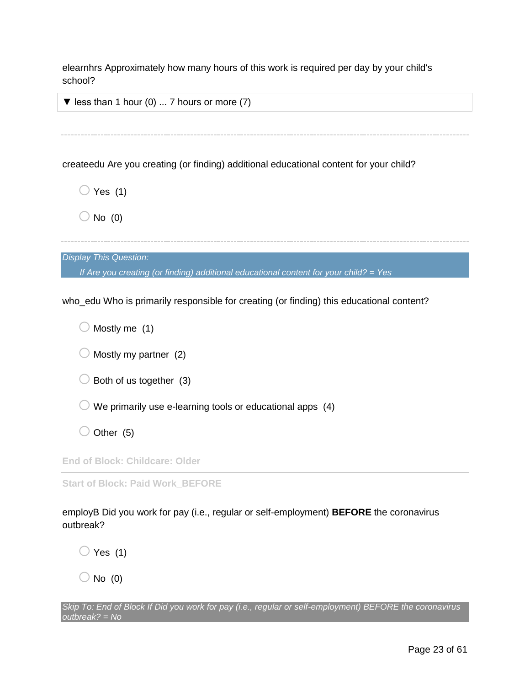elearnhrs Approximately how many hours of this work is required per day by your child's school?

 $\blacktriangledown$  less than 1 hour (0) ... 7 hours or more (7) createedu Are you creating (or finding) additional educational content for your child?  $\bigcirc$  Yes (1)  $\bigcirc$  No (0) *Display This Question: If Are you creating (or finding) additional educational content for your child? = Yes* who\_edu Who is primarily responsible for creating (or finding) this educational content?  $\bigcirc$  Mostly me (1)  $\bigcirc$  Mostly my partner (2)  $\bigcirc$  Both of us together (3)  $\bigcirc$  We primarily use e-learning tools or educational apps (4)  $\bigcirc$  Other (5) **End of Block: Childcare: Older Start of Block: Paid Work\_BEFORE** employB Did you work for pay (i.e., regular or self-employment) **BEFORE** the coronavirus outbreak?

 $\bigcirc$  Yes (1)

 $\bigcirc$  No (0)

|                  | Skip To: End of Block If Did you work for pay (i.e., regular or self-employment) BEFORE the coronavirus |
|------------------|---------------------------------------------------------------------------------------------------------|
| $outbreak? = No$ |                                                                                                         |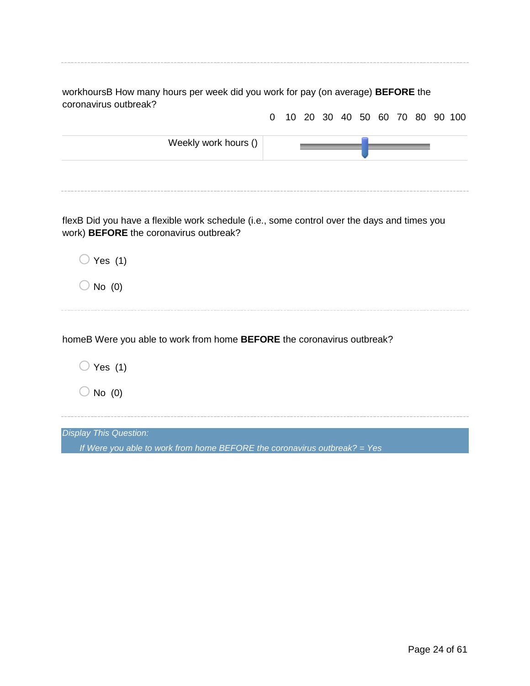workhoursB How many hours per week did you work for pay (on average) **BEFORE** the coronavirus outbreak?

|                                  |  |  |  |  |  | 0 10 20 30 40 50 60 70 80 90 100 |
|----------------------------------|--|--|--|--|--|----------------------------------|
| Weekly work hours () $\parallel$ |  |  |  |  |  |                                  |
|                                  |  |  |  |  |  |                                  |

flexB Did you have a flexible work schedule (i.e., some control over the days and times you work) **BEFORE** the coronavirus outbreak?

 $\bigcirc$  Yes (1)

 $\bigcirc$  No (0)

homeB Were you able to work from home **BEFORE** the coronavirus outbreak?

 $\bigcirc$  Yes (1)

 $\bigcirc$  No (0)

*Display This Question:*

*If Were you able to work from home BEFORE the coronavirus outbreak? = Yes*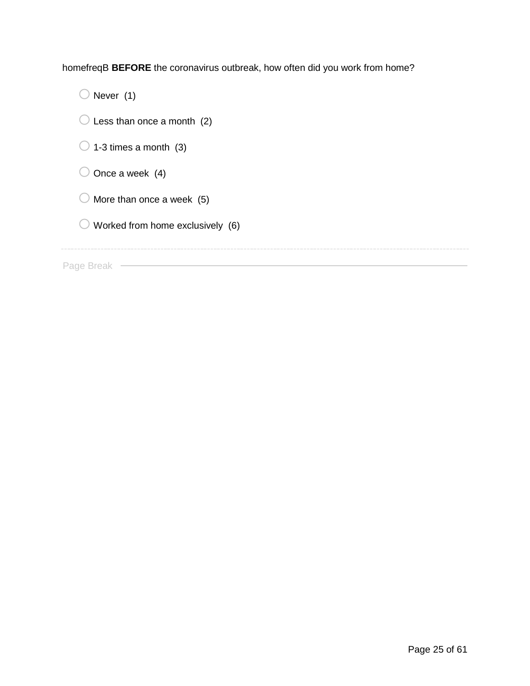homefreqB **BEFORE** the coronavirus outbreak, how often did you work from home?

 $\bigcirc$  Never (1)  $\bigcirc$  Less than once a month (2)  $\bigcirc$  1-3 times a month (3)  $\bigcirc$  Once a week (4)  $\bigcirc$  More than once a week (5)  $\bigcirc$  Worked from home exclusively (6) Page Break —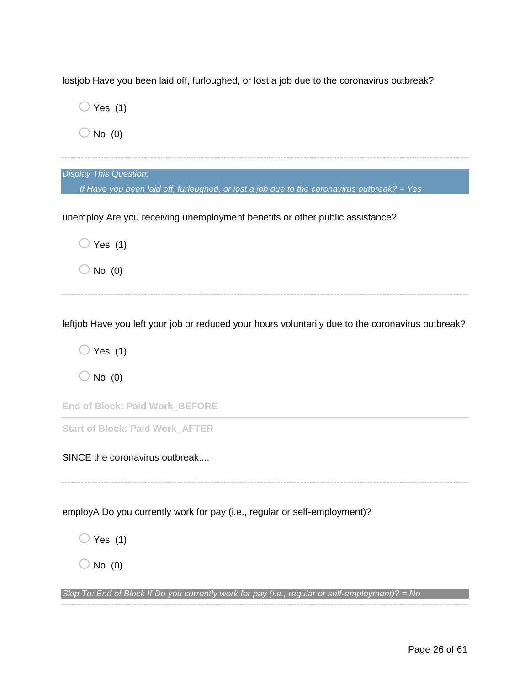|  |  | lostjob Have you been laid off, furloughed, or lost a job due to the coronavirus outbreak? |
|--|--|--------------------------------------------------------------------------------------------|
|  |  |                                                                                            |

| Yes $(1)$                                                                                                                    |
|------------------------------------------------------------------------------------------------------------------------------|
| No $(0)$                                                                                                                     |
|                                                                                                                              |
| <b>Display This Question:</b><br>If Have you been laid off, furloughed, or lost a job due to the coronavirus outbreak? = Yes |
| unemploy Are you receiving unemployment benefits or other public assistance?                                                 |
| Yes $(1)$                                                                                                                    |
| No $(0)$                                                                                                                     |
|                                                                                                                              |
| leftjob Have you left your job or reduced your hours voluntarily due to the coronavirus outbreak?                            |
| Yes $(1)$                                                                                                                    |
| No $(0)$                                                                                                                     |
| <b>End of Block: Paid Work_BEFORE</b>                                                                                        |
| <b>Start of Block: Paid Work_AFTER</b>                                                                                       |
| SINCE the coronavirus outbreak                                                                                               |
|                                                                                                                              |
| employA Do you currently work for pay (i.e., regular or self-employment)?                                                    |
| Yes $(1)$                                                                                                                    |
| $No$ $(0)$                                                                                                                   |
| Skip To: End of Block If Do you currently work for pay (i.e., regular or self-employment)? = No                              |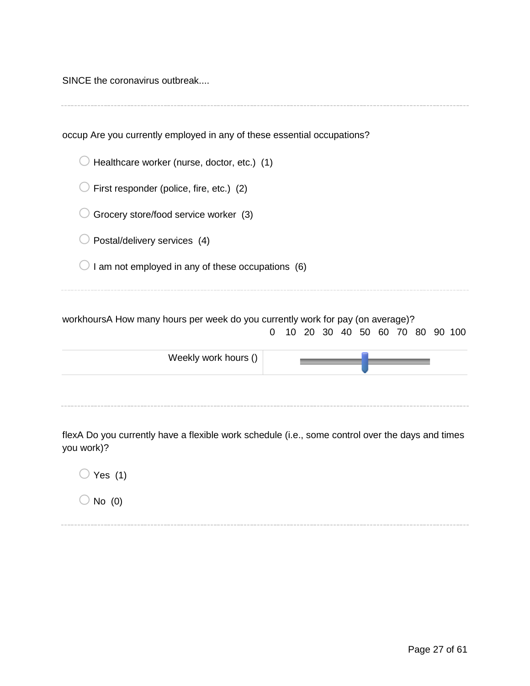SINCE the coronavirus outbreak....

| occup Are you currently employed in any of these essential occupations?                                               |
|-----------------------------------------------------------------------------------------------------------------------|
| Healthcare worker (nurse, doctor, etc.) (1)                                                                           |
| First responder (police, fire, etc.) (2)                                                                              |
| Grocery store/food service worker (3)                                                                                 |
| Postal/delivery services (4)                                                                                          |
| I am not employed in any of these occupations (6)                                                                     |
| workhoursA How many hours per week do you currently work for pay (on average)?<br>10 20 30 40 50 60 70 80 90 100<br>0 |

| Weekly work hours () |  |
|----------------------|--|
|                      |  |
|                      |  |

flexA Do you currently have a flexible work schedule (i.e., some control over the days and times you work)?

 $\bigcirc$  Yes (1)

 $\bigcirc$  No (0)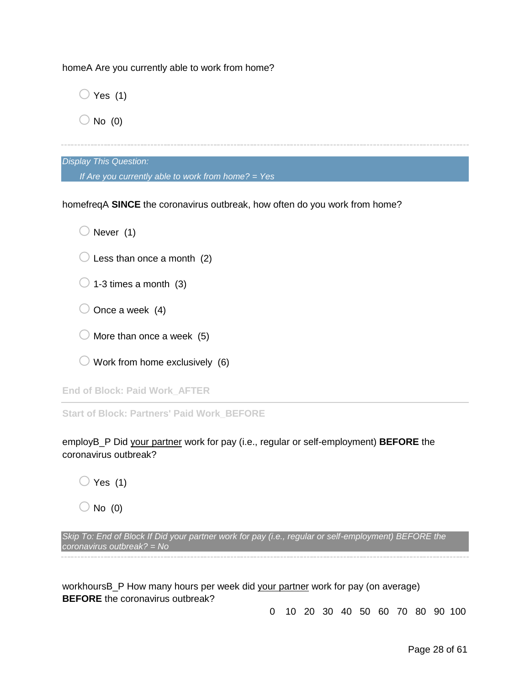homeA Are you currently able to work from home?

 $\bigcirc$  Yes (1)  $\bigcirc$  No (0)

*Display This Question: If Are you currently able to work from home? = Yes*

homefreqA **SINCE** the coronavirus outbreak, how often do you work from home?

 $\bigcirc$  Never (1)

- $\bigcirc$  Less than once a month (2)
- $\bigcirc$  1-3 times a month (3)
- $\bigcirc$  Once a week (4)
- $\bigcirc$  More than once a week (5)
- $\bigcirc$  Work from home exclusively (6)

**End of Block: Paid Work\_AFTER**

**Start of Block: Partners' Paid Work\_BEFORE**

employB\_P Did your partner work for pay (i.e., regular or self-employment) **BEFORE** the coronavirus outbreak?

 $\bigcirc$  Yes (1)

 $\bigcirc$  No (0)

*Skip To: End of Block If Did your partner work for pay (i.e., regular or self-employment) BEFORE the coronavirus outbreak? = No*

workhoursB\_P How many hours per week did your partner work for pay (on average) **BEFORE** the coronavirus outbreak?

0 10 20 30 40 50 60 70 80 90 100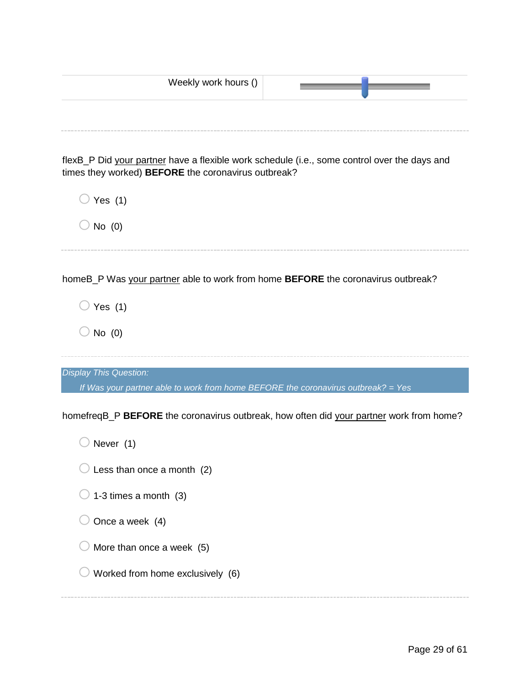| Weekly work hours () |  |
|----------------------|--|
|                      |  |

flexB\_P Did your partner have a flexible work schedule (i.e., some control over the days and times they worked) **BEFORE** the coronavirus outbreak?

 $\bigcirc$  Yes (1)  $\bigcirc$  No (0)

homeB\_P Was your partner able to work from home **BEFORE** the coronavirus outbreak?

 $\bigcirc$  Yes (1)

 $\bigcirc$  No (0)

*Display This Question:*

*If Was your partner able to work from home BEFORE the coronavirus outbreak? = Yes*

homefreqB\_P **BEFORE** the coronavirus outbreak, how often did your partner work from home?

- $\bigcirc$  Never (1)
- $\bigcirc$  Less than once a month (2)
- $\bigcirc$  1-3 times a month (3)
- $\bigcirc$  Once a week (4)
- $\bigcirc$  More than once a week (5)
- $\bigcirc$  Worked from home exclusively (6)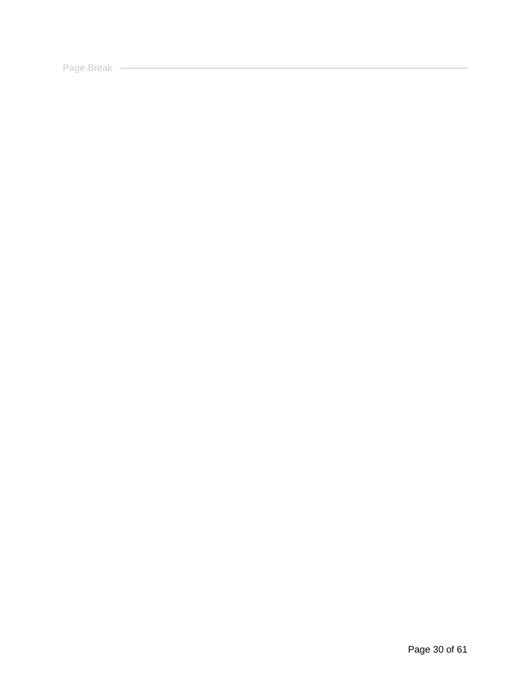Page Break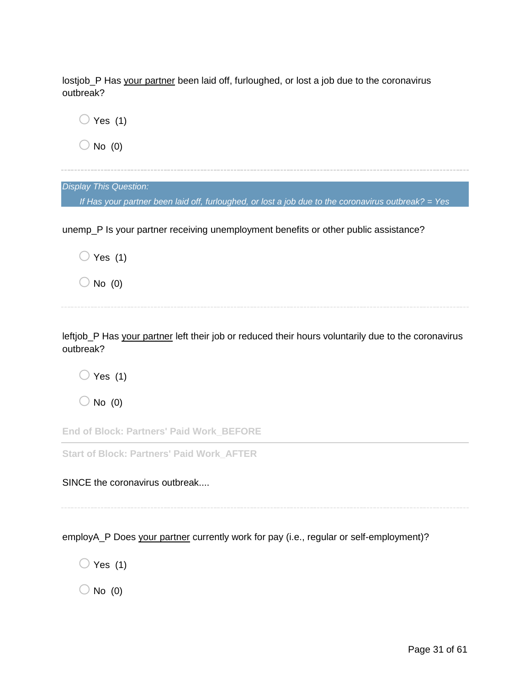lostjob\_P Has your partner been laid off, furloughed, or lost a job due to the coronavirus outbreak?

 $\bigcirc$  Yes (1)

 $\bigcirc$  No (0)

*Display This Question: If Has your partner been laid off, furloughed, or lost a job due to the coronavirus outbreak? = Yes*

unemp\_P Is your partner receiving unemployment benefits or other public assistance?

| Yes $(1)$ |
|-----------|
|-----------|

 $\bigcirc$  No (0)

leftjob\_P Has your partner left their job or reduced their hours voluntarily due to the coronavirus outbreak?

 $\bigcirc$  Yes (1)

 $\bigcirc$  No (0)

**End of Block: Partners' Paid Work\_BEFORE**

**Start of Block: Partners' Paid Work\_AFTER**

SINCE the coronavirus outbreak....

employA\_P Does your partner currently work for pay (i.e., regular or self-employment)?

 $\bigcirc$  Yes (1)

 $\bigcirc$  No (0)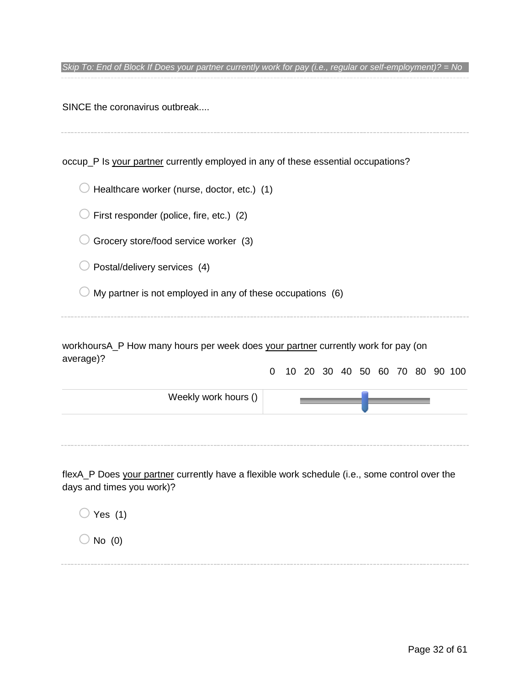*Skip To: End of Block If Does your partner currently work for pay (i.e., regular or self-employment)? = No*

SINCE the coronavirus outbreak....

occup\_P Is your partner currently employed in any of these essential occupations?

 $\bigcirc$  Healthcare worker (nurse, doctor, etc.) (1)

 $\bigcirc$  First responder (police, fire, etc.) (2)

 $\bigcirc$  Grocery store/food service worker (3)

 $\bigcirc$  Postal/delivery services (4)

 $\bigcirc$  My partner is not employed in any of these occupations (6)

workhoursA\_P How many hours per week does your partner currently work for pay (on average)?

|                        |  |  |  |  |  | 0 10 20 30 40 50 60 70 80 90 100 |
|------------------------|--|--|--|--|--|----------------------------------|
| Weekly work hours $()$ |  |  |  |  |  |                                  |
|                        |  |  |  |  |  |                                  |

flexA\_P Does your partner currently have a flexible work schedule (i.e., some control over the days and times you work)?

 $\bigcirc$  Yes (1)  $\bigcirc$  No (0)

Page 32 of 61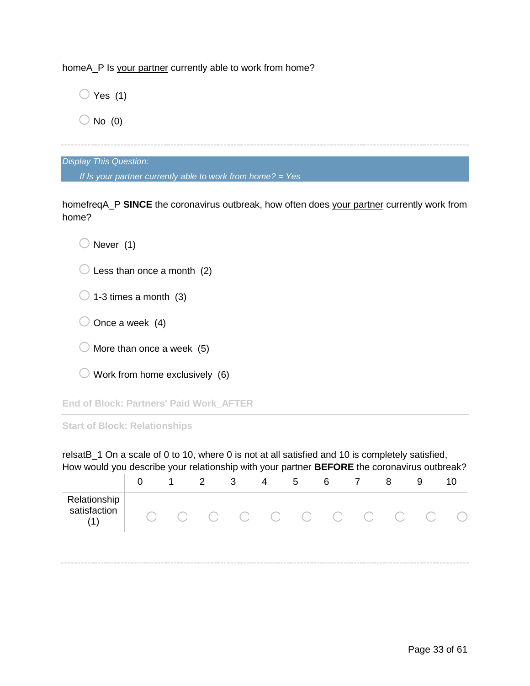homeA\_P Is your partner currently able to work from home?

 $\bigcirc$  Yes (1)  $\bigcirc$  No (0)

*Display This Question: If Is your partner currently able to work from home? = Yes*

homefreqA\_P **SINCE** the coronavirus outbreak, how often does your partner currently work from home?

 $\bigcirc$  Never (1)

| $\bigcirc$ Less than once a month (2) |  |
|---------------------------------------|--|

- $\bigcirc$  1-3 times a month (3)
- $\bigcirc$  Once a week (4)
- $\bigcirc$  More than once a week (5)
- $\bigcirc$  Work from home exclusively (6)

**End of Block: Partners' Paid Work\_AFTER**

#### **Start of Block: Relationships**

relsatB\_1 On a scale of 0 to 10, where 0 is not at all satisfied and 10 is completely satisfied, How would you describe your relationship with your partner **BEFORE** the coronavirus outbreak?

|                                     | 0 1 2 3 4 5 6 7 8 |  |  |  |  |  |
|-------------------------------------|-------------------|--|--|--|--|--|
| Relationship<br>satisfaction<br>(1) | ICCCCCCCCCC       |  |  |  |  |  |
|                                     |                   |  |  |  |  |  |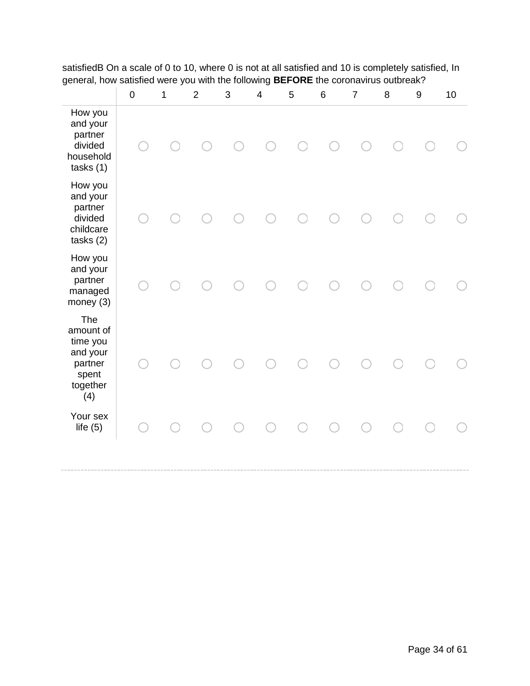|                                                                                 | $\boldsymbol{0}$ | 1 | $\overline{2}$ | 3 | $\overline{\mathbf{4}}$ | 5 | 6 | 7 | 8 | 9 | 10 |
|---------------------------------------------------------------------------------|------------------|---|----------------|---|-------------------------|---|---|---|---|---|----|
| How you<br>and your<br>partner<br>divided<br>household<br>tasks (1)             |                  |   |                |   |                         |   |   |   |   |   |    |
| How you<br>and your<br>partner<br>divided<br>childcare<br>tasks (2)             |                  |   |                |   |                         |   |   |   |   |   |    |
| How you<br>and your<br>partner<br>managed<br>money (3)                          |                  |   |                |   |                         |   |   |   |   |   |    |
| The<br>amount of<br>time you<br>and your<br>partner<br>spent<br>together<br>(4) |                  |   |                |   |                         |   |   |   |   |   |    |
| Your sex<br>life $(5)$                                                          |                  |   |                |   |                         |   |   |   |   |   |    |

satisfiedB On a scale of 0 to 10, where 0 is not at all satisfied and 10 is completely satisfied, In general, how satisfied were you with the following **BEFORE** the coronavirus outbreak?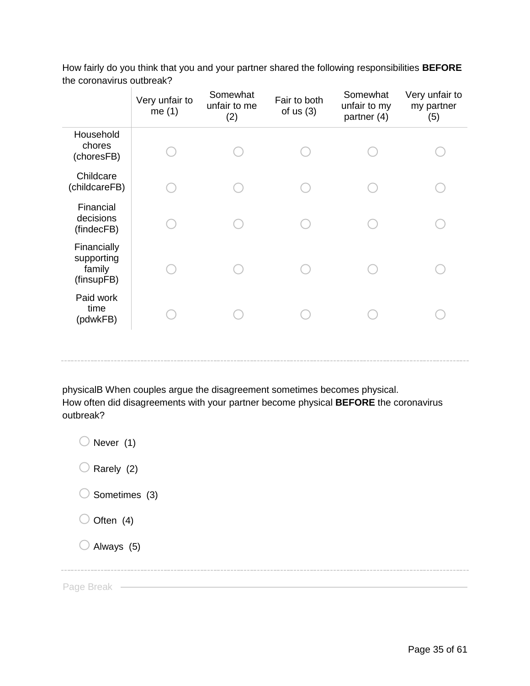How fairly do you think that you and your partner shared the following responsibilities **BEFORE**  the coronavirus outbreak?

|                                                   | Very unfair to<br>me $(1)$ | Somewhat<br>unfair to me<br>(2) | Fair to both<br>of $us(3)$ | Somewhat<br>unfair to my<br>partner (4) | Very unfair to<br>my partner<br>(5) |
|---------------------------------------------------|----------------------------|---------------------------------|----------------------------|-----------------------------------------|-------------------------------------|
| Household<br>chores<br>(choresFB)                 |                            |                                 |                            |                                         |                                     |
| Childcare<br>(childcareFB)                        |                            |                                 |                            |                                         |                                     |
| Financial<br>decisions<br>(findecFB)              |                            |                                 |                            |                                         |                                     |
| Financially<br>supporting<br>family<br>(finsupFB) |                            |                                 |                            |                                         |                                     |
| Paid work<br>time<br>(pdwkFB)                     |                            |                                 |                            |                                         |                                     |
|                                                   |                            |                                 |                            |                                         |                                     |

physicalB When couples argue the disagreement sometimes becomes physical. How often did disagreements with your partner become physical **BEFORE** the coronavirus outbreak?

| $\bigcirc$ Never (1)                                          |
|---------------------------------------------------------------|
| $\bigcirc$ Rarely (2)                                         |
| $\bigcirc$ Sometimes (3)                                      |
| $\bigcirc$ Often (4)                                          |
| $\bigcirc$ Always (5)                                         |
| send which have been been point which have been<br>Page Break |
|                                                               |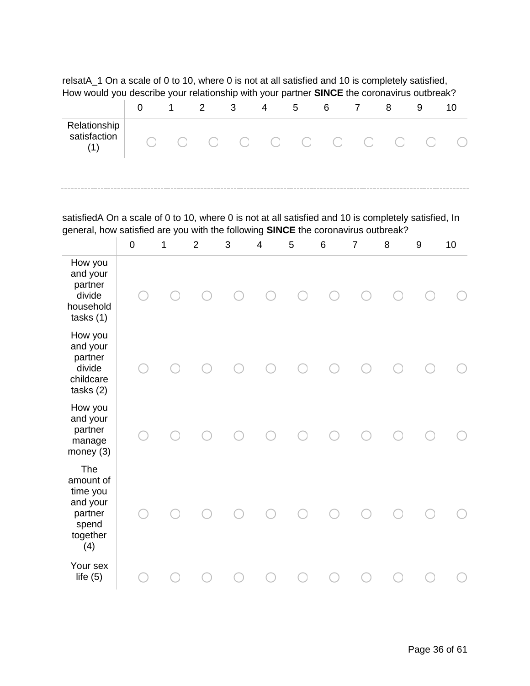relsatA\_1 On a scale of 0 to 10, where 0 is not at all satisfied and 10 is completely satisfied, How would you describe your relationship with your partner **SINCE** the coronavirus outbreak?

|                              | $\Omega$ | $2 \t3$    |  | 4 5 6 7 |  |  |  |
|------------------------------|----------|------------|--|---------|--|--|--|
| Relationship<br>satisfaction |          | CCCCCCCCCC |  |         |  |  |  |

satisfiedA On a scale of 0 to 10, where 0 is not at all satisfied and 10 is completely satisfied, In general, how satisfied are you with the following **SINCE** the coronavirus outbreak?

|                                                                                 | $\mathbf 0$ | 1 | $\overline{2}$ | 3         | 4         | 5 | 6         | $\overline{7}$ | 8 | 9 | 10 |
|---------------------------------------------------------------------------------|-------------|---|----------------|-----------|-----------|---|-----------|----------------|---|---|----|
| How you<br>and your<br>partner<br>divide<br>household<br>tasks (1)              |             |   |                |           |           |   |           |                |   |   |    |
| How you<br>and your<br>partner<br>divide<br>childcare<br>tasks (2)              |             |   |                | $\bigcap$ | $\bigcap$ | ⌒ | $\subset$ | ⌒              |   |   |    |
| How you<br>and your<br>partner<br>manage<br>money (3)                           |             |   |                |           |           |   |           |                |   |   |    |
| The<br>amount of<br>time you<br>and your<br>partner<br>spend<br>together<br>(4) |             |   |                |           |           |   |           |                |   |   |    |
| Your sex<br>life $(5)$                                                          |             |   |                |           |           |   |           |                |   |   |    |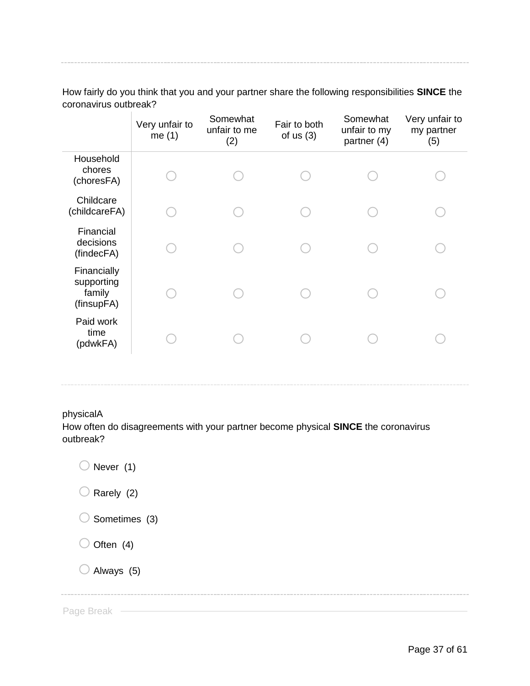How fairly do you think that you and your partner share the following responsibilities **SINCE** the coronavirus outbreak?

|                                                   | Very unfair to<br>me $(1)$ | Somewhat<br>unfair to me<br>(2) | Fair to both<br>of us $(3)$ | Somewhat<br>unfair to my<br>partner (4) | Very unfair to<br>my partner<br>(5) |
|---------------------------------------------------|----------------------------|---------------------------------|-----------------------------|-----------------------------------------|-------------------------------------|
| Household<br>chores<br>(choresFA)                 |                            |                                 |                             |                                         |                                     |
| Childcare<br>(childcareFA)                        |                            |                                 |                             |                                         |                                     |
| Financial<br>decisions<br>(findecFA)              |                            |                                 |                             |                                         |                                     |
| Financially<br>supporting<br>family<br>(finsupFA) |                            |                                 |                             |                                         |                                     |
| Paid work<br>time<br>(pdwkFA)                     |                            |                                 |                             |                                         |                                     |
|                                                   |                            |                                 |                             |                                         |                                     |

#### physicalA

How often do disagreements with your partner become physical **SINCE** the coronavirus outbreak?

 $\bigcirc$  Never (1)

 $\bigcirc$  Rarely (2)

 $\bigcirc$  Sometimes (3)

 $\bigcirc$  Often (4)

 $\bigcirc$  Always (5)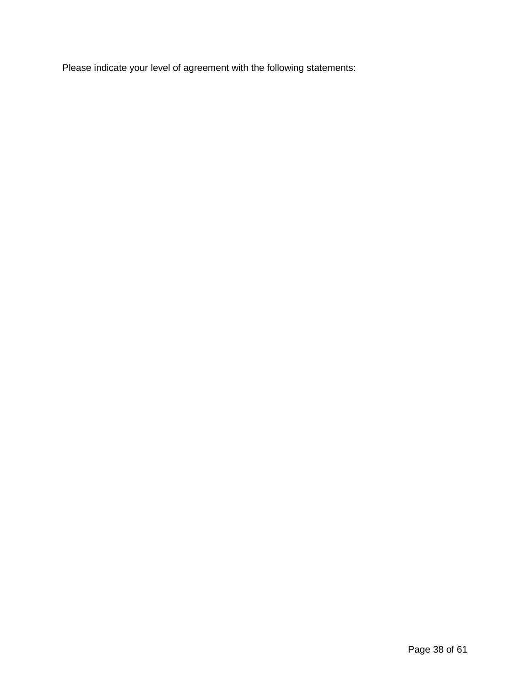Please indicate your level of agreement with the following statements: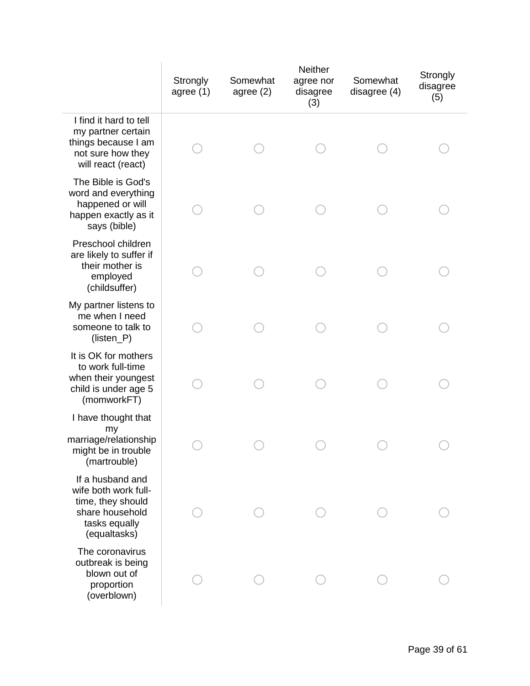|                                                                                                                   | Strongly<br>agree $(1)$ | Somewhat<br>agree $(2)$ | Neither<br>agree nor<br>disagree<br>(3) | Somewhat<br>disagree (4) | Strongly<br>disagree<br>(5) |
|-------------------------------------------------------------------------------------------------------------------|-------------------------|-------------------------|-----------------------------------------|--------------------------|-----------------------------|
| I find it hard to tell<br>my partner certain<br>things because I am<br>not sure how they<br>will react (react)    |                         |                         |                                         |                          |                             |
| The Bible is God's<br>word and everything<br>happened or will<br>happen exactly as it<br>says (bible)             |                         |                         |                                         |                          |                             |
| Preschool children<br>are likely to suffer if<br>their mother is<br>employed<br>(childsuffer)                     |                         |                         |                                         |                          |                             |
| My partner listens to<br>me when I need<br>someone to talk to<br>(listen_P)                                       |                         |                         |                                         |                          |                             |
| It is OK for mothers<br>to work full-time<br>when their youngest<br>child is under age 5<br>(momworkFT)           |                         |                         |                                         |                          |                             |
| I have thought that<br>my<br>marriage/relationship<br>might be in trouble<br>(martrouble)                         |                         |                         |                                         |                          |                             |
| If a husband and<br>wife both work full-<br>time, they should<br>share household<br>tasks equally<br>(equaltasks) |                         |                         |                                         |                          |                             |
| The coronavirus<br>outbreak is being<br>blown out of<br>proportion<br>(overblown)                                 |                         |                         |                                         |                          |                             |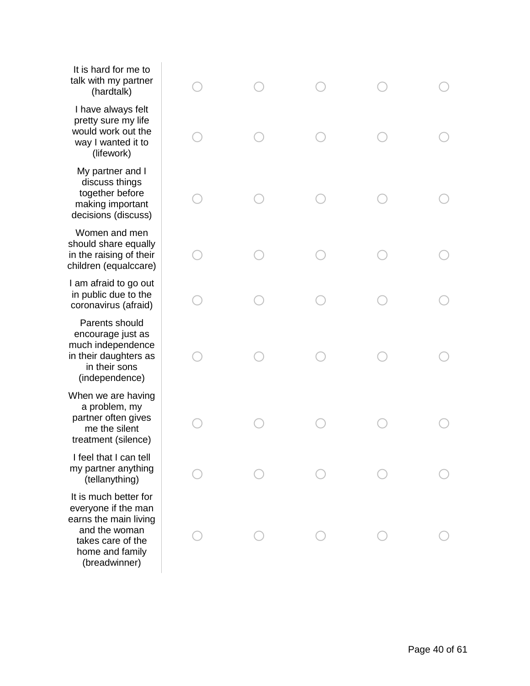It is hard for me to talk with my partner (hardtalk)

I have always felt pretty sure my life would work out the way I wanted it to (lifework)

My partner and I discuss things together before making important decisions (discuss)

Women and men should share equally in the raising of their children (equalccare)

I am afraid to go out in public due to the coronavirus (afraid)

Parents should encourage just as much independence in their daughters as in their sons (independence)

When we are having a problem, my partner often gives me the silent treatment (silence)

I feel that I can tell my partner anything (tellanything)

It is much better for everyone if the man earns the main living and the woman takes care of the home and family (breadwinner)

| $\circ$    | $\begin{array}{ccc} & & \\ \n\mathbf{O} & & \\ \n\mathbf{O} & & \\ \n\mathbf{O} & & \\ \n\mathbf{O} & & \\ \n\mathbf{O} & & \\ \n\mathbf{O} & & \\ \n\mathbf{O} & & \\ \n\mathbf{O} & & \\ \n\mathbf{O} & & \\ \n\mathbf{O} & & \\ \n\mathbf{O} & & \\ \n\mathbf{O} & & \\ \n\mathbf{O} & & \\ \n\mathbf{O} & & \\ \n\mathbf{O} & & \\ \n\mathbf{O} & & \\ \n\mathbf{O} & & \\ \n\mathbf{O} & & \\ \n\mathbf{O} & & \\ \$ | $\circ$                                         | $\circ$                                                   | $\bigcirc$ |
|------------|---------------------------------------------------------------------------------------------------------------------------------------------------------------------------------------------------------------------------------------------------------------------------------------------------------------------------------------------------------------------------------------------------------------------------|-------------------------------------------------|-----------------------------------------------------------|------------|
| $\circ$    | $\circ$                                                                                                                                                                                                                                                                                                                                                                                                                   | $\circ$                                         | $\circ$                                                   | $\bigcirc$ |
| $\circ$    | $\circ$                                                                                                                                                                                                                                                                                                                                                                                                                   | $\bigcirc$                                      | $\circ$                                                   | $\bigcirc$ |
| $\bigcirc$ | $\overline{O}$                                                                                                                                                                                                                                                                                                                                                                                                            | $\begin{array}{c}\n\circ \\ \circ\n\end{array}$ | $\begin{array}{c}\n\mathbf{C} \\ \mathbf{C}\n\end{array}$ | $\circ$    |
| $\bigcirc$ | $\circ$                                                                                                                                                                                                                                                                                                                                                                                                                   | $\bigcirc$                                      | $\circ$                                                   | $\circ$    |
| $\bigcirc$ | $\bigcirc$                                                                                                                                                                                                                                                                                                                                                                                                                | $\bigcirc$                                      | $\circ$                                                   | $\circ$    |
| $\bigcirc$ | $\begin{array}{c}\n\circ \\ \circ \\ \circ\n\end{array}$                                                                                                                                                                                                                                                                                                                                                                  | $\circ$                                         | $\circ$                                                   | $\circ$    |
|            |                                                                                                                                                                                                                                                                                                                                                                                                                           |                                                 |                                                           |            |
|            |                                                                                                                                                                                                                                                                                                                                                                                                                           |                                                 | $\rightarrow$                                             |            |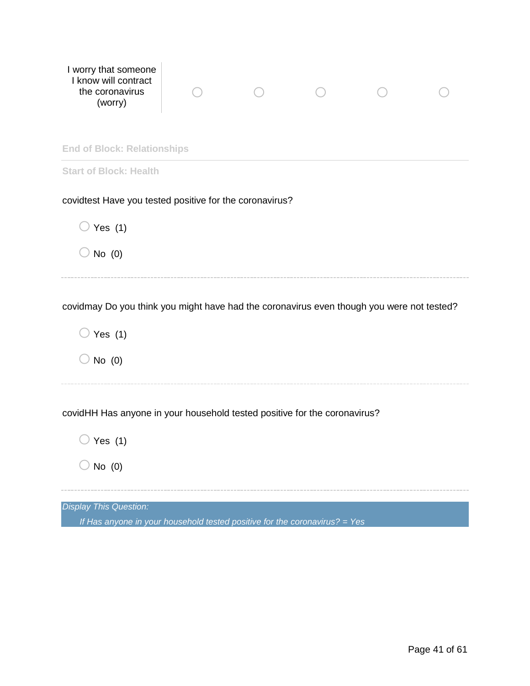| I worry that someone<br>I know will contract<br>the coronavirus<br>(worry)                                                 |  |  |  |
|----------------------------------------------------------------------------------------------------------------------------|--|--|--|
| <b>End of Block: Relationships</b>                                                                                         |  |  |  |
| <b>Start of Block: Health</b>                                                                                              |  |  |  |
| covidtest Have you tested positive for the coronavirus?                                                                    |  |  |  |
| $\supset$ Yes (1)                                                                                                          |  |  |  |
| No $(0)$                                                                                                                   |  |  |  |
| covidmay Do you think you might have had the coronavirus even though you were not tested?<br>$\supset$ Yes (1)<br>No $(0)$ |  |  |  |
| covidHH Has anyone in your household tested positive for the coronavirus?                                                  |  |  |  |
| Yes (1)                                                                                                                    |  |  |  |
| No $(0)$                                                                                                                   |  |  |  |
|                                                                                                                            |  |  |  |

*Display This Question:*

*If Has anyone in your household tested positive for the coronavirus? = Yes*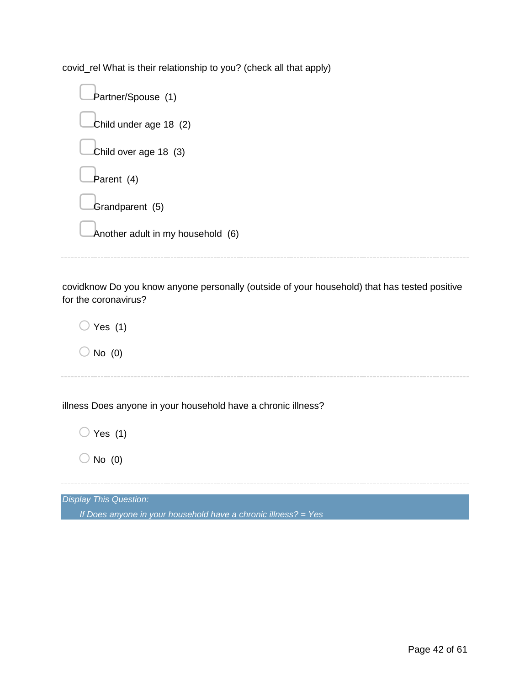covid\_rel What is their relationship to you? (check all that apply)

| Partner/Spouse (1)                |
|-----------------------------------|
| Child under age 18 (2)            |
| Child over age 18 (3)             |
| Parent (4)                        |
| Grandparent (5)                   |
| Another adult in my household (6) |
|                                   |

covidknow Do you know anyone personally (outside of your household) that has tested positive for the coronavirus?

 $\bigcirc$  Yes (1)  $\bigcirc$  No (0)

illness Does anyone in your household have a chronic illness?

 $\bigcirc$  Yes (1)

 $\bigcirc$  No (0)

*Display This Question:*

*If Does anyone in your household have a chronic illness? = Yes*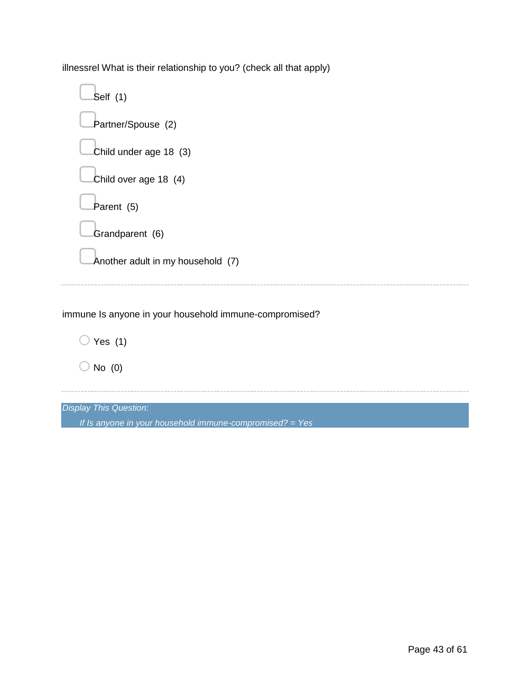| Self(1)                                                |
|--------------------------------------------------------|
| Partner/Spouse (2)                                     |
| Child under age 18 (3)                                 |
| Child over age 18 (4)                                  |
| Parent (5)                                             |
| Grandparent (6)                                        |
| Another adult in my household (7)                      |
|                                                        |
| immune Is anyone in your household immune-compromised? |
| Yes $(1)$                                              |
| $No$ $(0)$                                             |

*Display This Question:*

*If Is anyone in your household immune-compromised? = Yes*

illnessrel What is their relationship to you? (check all that apply)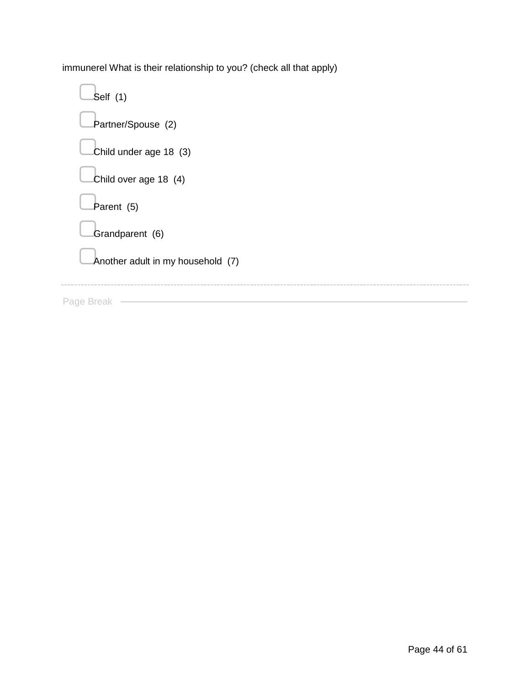| immunerel What is their relationship to you? (check all that apply) |  |  |
|---------------------------------------------------------------------|--|--|
|---------------------------------------------------------------------|--|--|

| Self (1)                          |
|-----------------------------------|
| Partner/Spouse (2)                |
| Child under age 18 (3)            |
| Child over age 18 (4)             |
| Parent (5)                        |
| Grandparent (6)                   |
| Another adult in my household (7) |
|                                   |
| Page Break                        |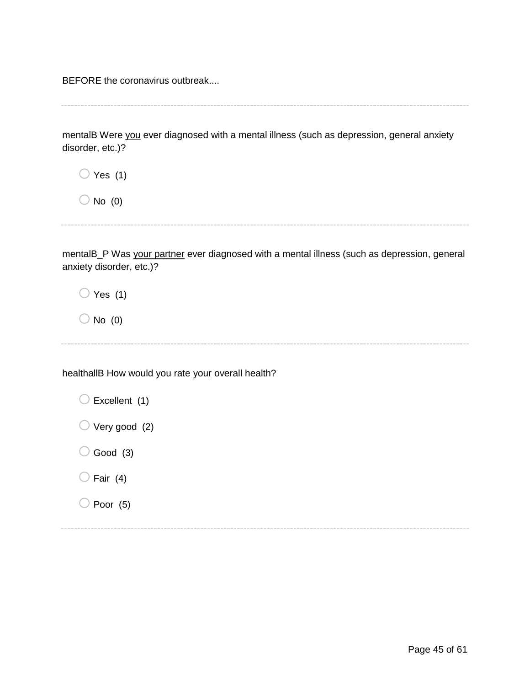BEFORE the coronavirus outbreak....

mentalB Were you ever diagnosed with a mental illness (such as depression, general anxiety disorder, etc.)?

 $\bigcirc$  No (0)

mentalB\_P Was your partner ever diagnosed with a mental illness (such as depression, general anxiety disorder, etc.)?

 $\bigcirc$  Yes (1)

 $\bigcirc$  No (0)

healthallB How would you rate your overall health?

| $\bigcirc$ Excellent (1) |
|--------------------------|
| $\bigcup$ Very good (2)  |
| $\bigcirc$ Good (3)      |
| $\bigcirc$ Fair (4)      |
| Poor $(5)$<br>$\Box$     |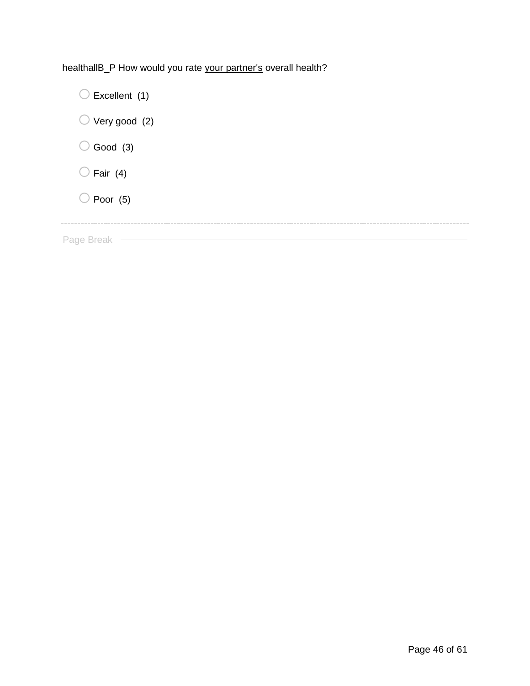| healthallB_P How would you rate your partner's overall health? |  |  |
|----------------------------------------------------------------|--|--|
|----------------------------------------------------------------|--|--|

| Excellent (1)            |  |
|--------------------------|--|
| $\bigcirc$ Very good (2) |  |
| Good (3)                 |  |
| $\bigcirc$ Fair (4)      |  |
| Poor (5)                 |  |
|                          |  |
| Page Break               |  |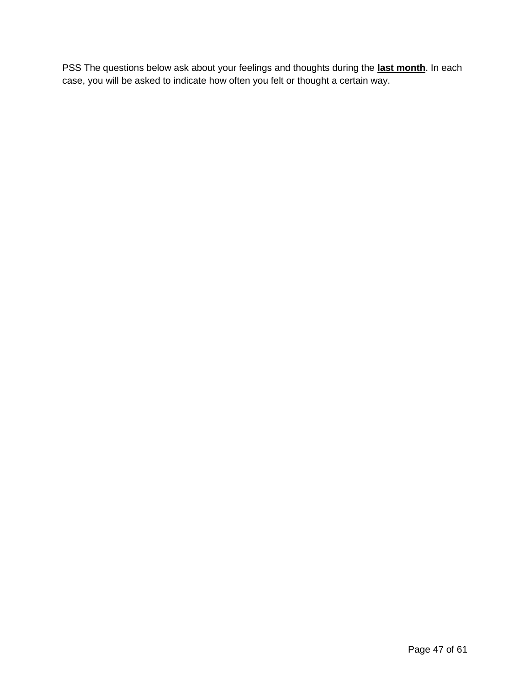PSS The questions below ask about your feelings and thoughts during the **last month**. In each case, you will be asked to indicate how often you felt or thought a certain way.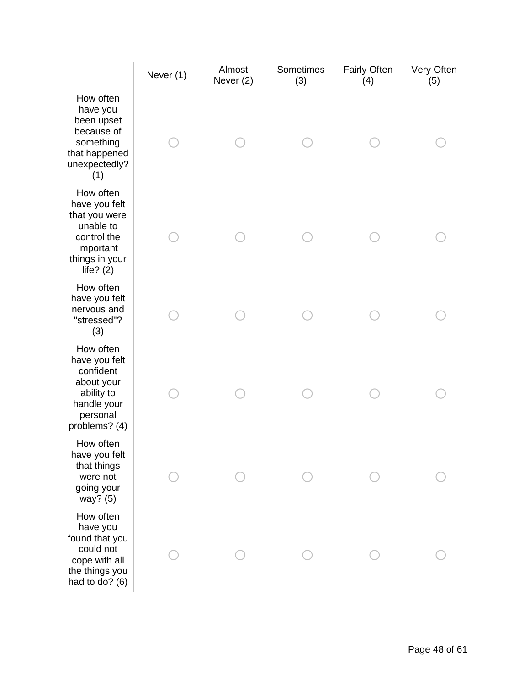|                                                                                                                       | Never (1) | Almost<br>Never (2) | Sometimes<br>(3) | <b>Fairly Often</b><br>(4) | Very Often<br>(5) |
|-----------------------------------------------------------------------------------------------------------------------|-----------|---------------------|------------------|----------------------------|-------------------|
| How often<br>have you<br>been upset<br>because of<br>something<br>that happened<br>unexpectedly?<br>(1)               |           |                     |                  |                            |                   |
| How often<br>have you felt<br>that you were<br>unable to<br>control the<br>important<br>things in your<br>life? $(2)$ |           |                     |                  |                            |                   |
| How often<br>have you felt<br>nervous and<br>"stressed"?<br>(3)                                                       |           |                     |                  |                            |                   |
| How often<br>have you felt<br>confident<br>about your<br>ability to<br>handle your<br>personal<br>problems? (4)       |           |                     |                  |                            |                   |
| How often<br>have you felt<br>that things<br>were not<br>going your<br>way? (5)                                       |           |                     |                  |                            |                   |
| How often<br>have you<br>found that you<br>could not<br>cope with all<br>the things you<br>had to do? (6)             |           |                     |                  |                            |                   |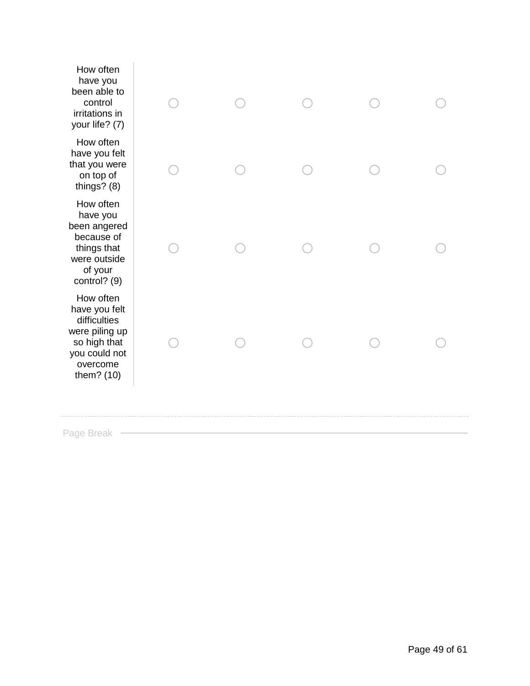| How often<br>have you<br>been able to<br>control<br>irritations in<br>your life? (7)                                    |  |  |  |
|-------------------------------------------------------------------------------------------------------------------------|--|--|--|
| How often<br>have you felt<br>that you were<br>on top of<br>things? (8)                                                 |  |  |  |
| How often<br>have you<br>been angered<br>because of<br>things that<br>were outside<br>of your<br>control? (9)           |  |  |  |
| How often<br>have you felt<br>difficulties<br>were piling up<br>so high that<br>you could not<br>overcome<br>them? (10) |  |  |  |
|                                                                                                                         |  |  |  |

Page Break –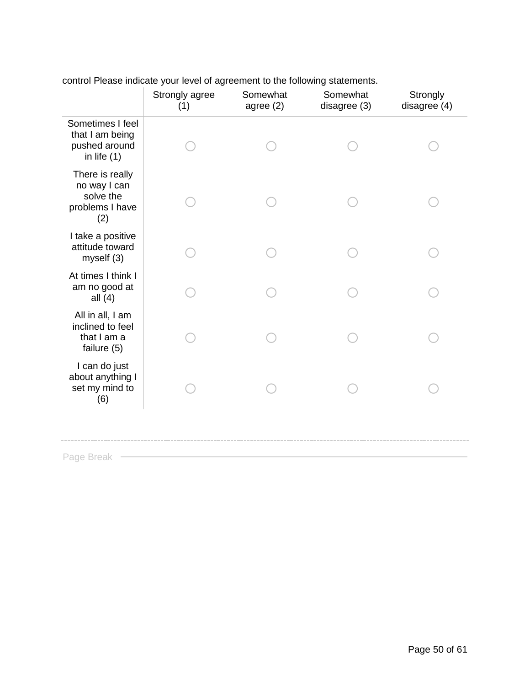|                                                                        | Strongly agree<br>(1) | Somewhat<br>agree $(2)$ | Somewhat<br>disagree (3) | Strongly<br>disagree (4) |
|------------------------------------------------------------------------|-----------------------|-------------------------|--------------------------|--------------------------|
| Sometimes I feel<br>that I am being<br>pushed around<br>in life $(1)$  |                       |                         |                          |                          |
| There is really<br>no way I can<br>solve the<br>problems I have<br>(2) |                       |                         |                          |                          |
| I take a positive<br>attitude toward<br>myself (3)                     |                       |                         |                          |                          |
| At times I think I<br>am no good at<br>all $(4)$                       |                       |                         |                          |                          |
| All in all, I am<br>inclined to feel<br>that I am a<br>failure (5)     |                       |                         |                          |                          |
| I can do just<br>about anything I<br>set my mind to<br>(6)             |                       |                         |                          |                          |
|                                                                        |                       |                         |                          |                          |

control Please indicate your level of agreement to the following statements.

Page Break – **Example 2014**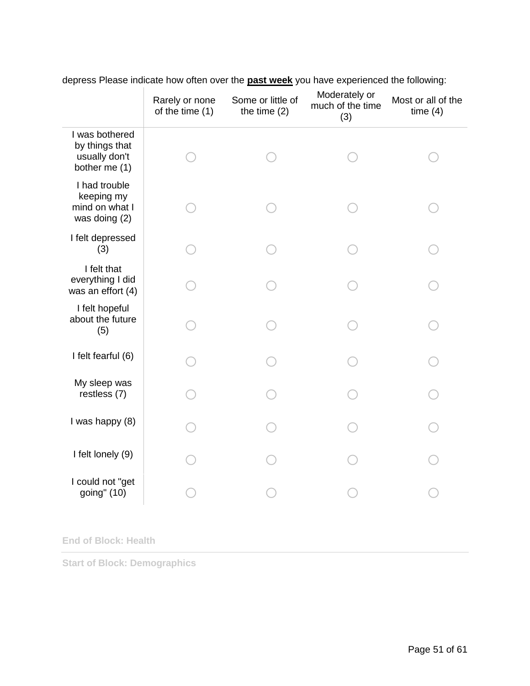|                                                                    | Rarely or none<br>of the time (1) | Some or little of<br>the time $(2)$ | Moderately or<br>much of the time<br>(3) | Most or all of the<br>time(4) |
|--------------------------------------------------------------------|-----------------------------------|-------------------------------------|------------------------------------------|-------------------------------|
| I was bothered<br>by things that<br>usually don't<br>bother me (1) |                                   |                                     |                                          |                               |
| I had trouble<br>keeping my<br>mind on what I<br>was doing (2)     |                                   |                                     |                                          |                               |
| I felt depressed<br>(3)                                            |                                   |                                     |                                          |                               |
| I felt that<br>everything I did<br>was an effort (4)               |                                   |                                     |                                          |                               |
| I felt hopeful<br>about the future<br>(5)                          |                                   |                                     |                                          |                               |
| I felt fearful (6)                                                 |                                   |                                     |                                          |                               |
| My sleep was<br>restless (7)                                       |                                   |                                     |                                          |                               |
| I was happy (8)                                                    |                                   |                                     |                                          |                               |
| I felt lonely (9)                                                  |                                   |                                     |                                          |                               |
| I could not "get<br>going" (10)                                    |                                   |                                     |                                          |                               |

depress Please indicate how often over the **past week** you have experienced the following:

**End of Block: Health**

**Start of Block: Demographics**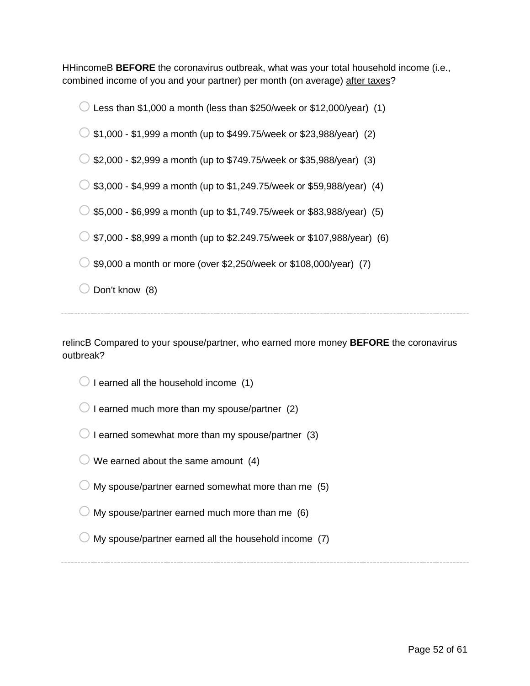HHincomeB **BEFORE** the coronavirus outbreak, what was your total household income (i.e., combined income of you and your partner) per month (on average) after taxes?



relincB Compared to your spouse/partner, who earned more money **BEFORE** the coronavirus outbreak?

- $\bigcirc$  I earned all the household income (1)
- $\bigcirc$  I earned much more than my spouse/partner (2)
- $\bigcirc$  I earned somewhat more than my spouse/partner (3)
- $\bigcirc$  We earned about the same amount (4)
- $\bigcirc$  My spouse/partner earned somewhat more than me (5)
- $\bigcirc$  My spouse/partner earned much more than me (6)
- $\bigcirc$  My spouse/partner earned all the household income (7)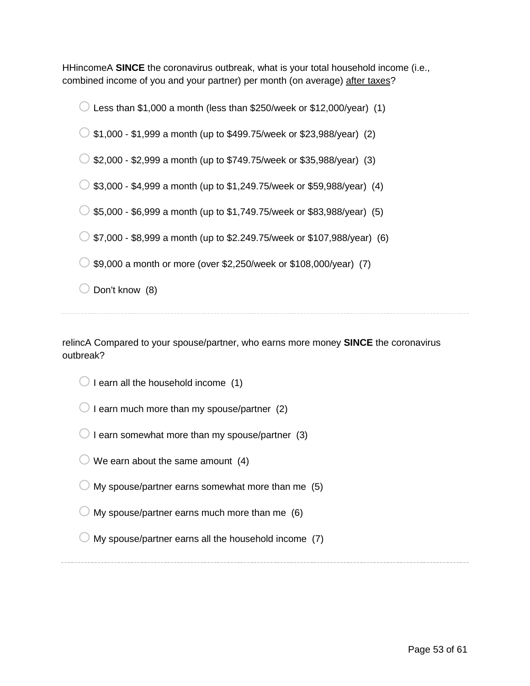HHincomeA **SINCE** the coronavirus outbreak, what is your total household income (i.e., combined income of you and your partner) per month (on average) after taxes?

| Less than \$1,000 a month (less than \$250/week or \$12,000/year) $(1)$ |
|-------------------------------------------------------------------------|
| \$1,000 - \$1,999 a month (up to \$499.75/week or \$23,988/year) (2)    |
| \$2,000 - \$2,999 a month (up to \$749.75/week or \$35,988/year) (3)    |
| \$3,000 - \$4,999 a month (up to \$1,249.75/week or \$59,988/year) (4)  |
| \$5,000 - \$6,999 a month (up to \$1,749.75/week or \$83,988/year) (5)  |
| \$7,000 - \$8,999 a month (up to \$2.249.75/week or \$107,988/year) (6) |
| \$9,000 a month or more (over \$2,250/week or \$108,000/year) (7)       |
| Don't know (8)                                                          |
|                                                                         |

relincA Compared to your spouse/partner, who earns more money **SINCE** the coronavirus outbreak?

- $\bigcirc$  I earn all the household income (1)
- $\bigcirc$  I earn much more than my spouse/partner (2)
- $\bigcirc$  I earn somewhat more than my spouse/partner (3)
- $\bigcirc$  We earn about the same amount (4)
- $\bigcirc$  My spouse/partner earns somewhat more than me (5)
- $\bigcirc$  My spouse/partner earns much more than me (6)
- $\bigcirc$  My spouse/partner earns all the household income (7)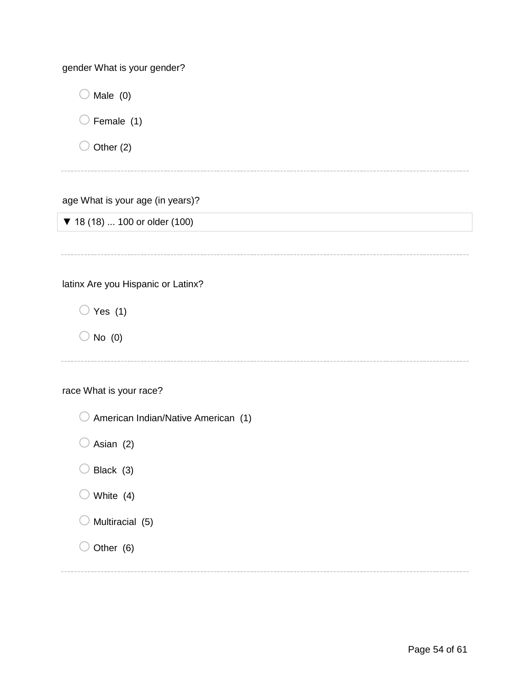### gender What is your gender?

 $\bigcirc$  Male (0)

 $\bigcirc$  Female (1)

 $\bigcirc$  Other (2)

age What is your age (in years)?

▼ 18 (18) ... 100 or older (100)

latinx Are you Hispanic or Latinx?

 $\bigcirc$  Yes (1)

 $\bigcirc$  No (0)

race What is your race?

 $\bigcirc$  American Indian/Native American (1)

 $\bigcirc$  Asian (2)

 $\bigcirc$  Black (3)

 $\bigcirc$  White (4)

 $\bigcirc$  Multiracial (5)

 $\bigcirc$  Other (6)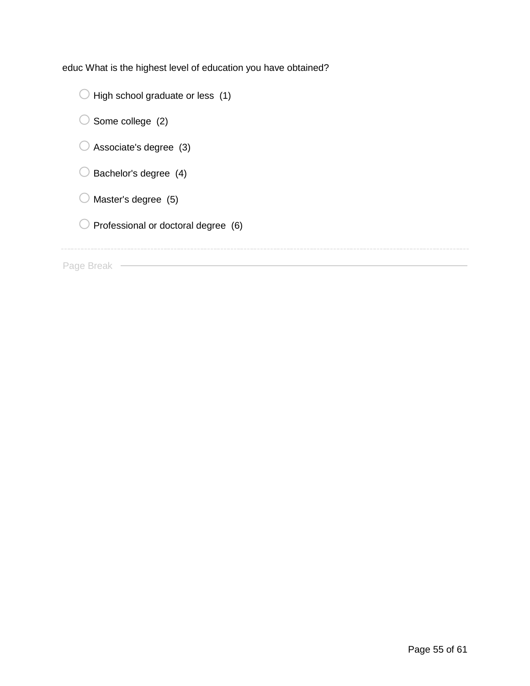educ What is the highest level of education you have obtained?

|            | High school graduate or less (1)    |
|------------|-------------------------------------|
|            | Some college (2)                    |
|            | Associate's degree (3)              |
|            | Bachelor's degree (4)               |
|            | Master's degree (5)                 |
|            | Professional or doctoral degree (6) |
|            |                                     |
| Page Break |                                     |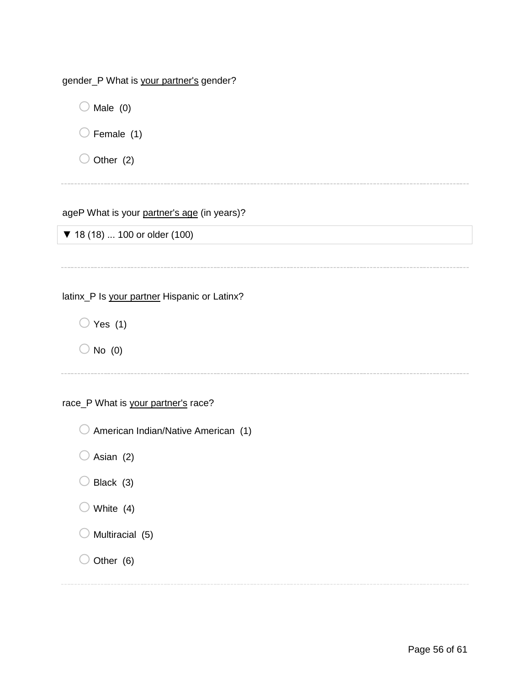#### gender\_P What is your partner's gender?

 $\bigcirc$  Male (0)

 $\bigcirc$  Female (1)

 $\bigcirc$  Other (2)

#### ageP What is your partner's age (in years)?

▼ 18 (18) ... 100 or older (100)

latinx\_P Is your partner Hispanic or Latinx?

 $\bigcirc$  Yes (1)

 $\bigcirc$  No (0)

race\_P What is your partner's race?

 $\bigcirc$  American Indian/Native American (1)

 $\bigcirc$  Asian (2)

- $\bigcirc$  Black (3)
- $\bigcirc$  White (4)
- $\bigcirc$  Multiracial (5)
- $\bigcirc$  Other (6)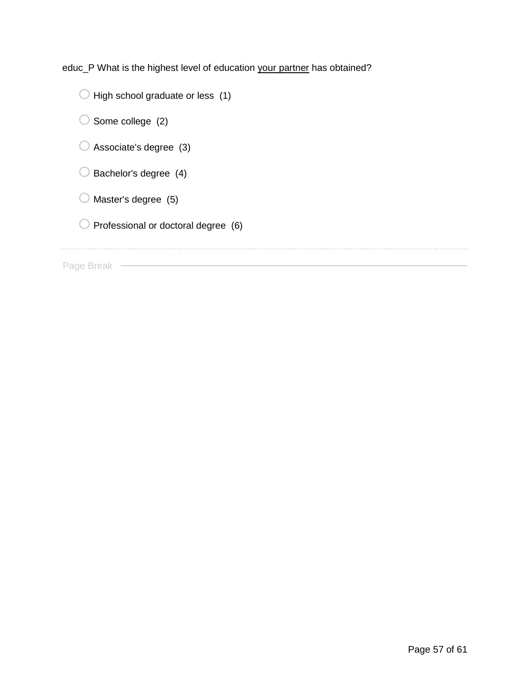educ\_P What is the highest level of education your partner has obtained?

| High school graduate or less (1)    |
|-------------------------------------|
| Some college (2)                    |
| Associate's degree (3)              |
| Bachelor's degree (4)               |
| Master's degree (5)                 |
| Professional or doctoral degree (6) |
|                                     |
| Page Breal                          |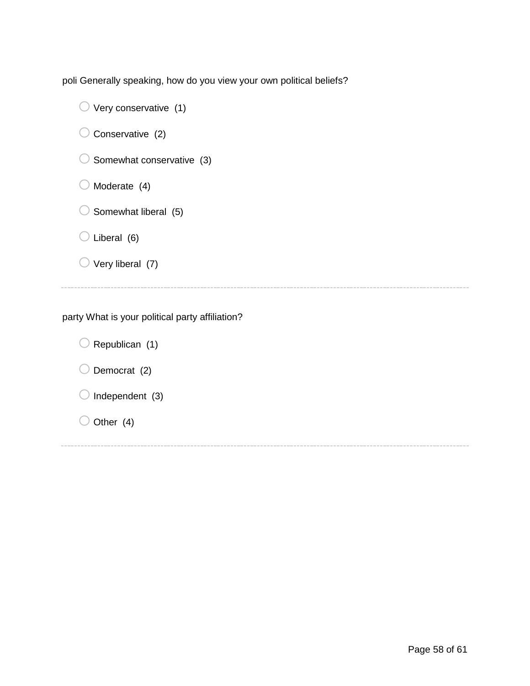poli Generally speaking, how do you view your own political beliefs?

| Very conservative (1)                           |  |
|-------------------------------------------------|--|
| Conservative (2)                                |  |
| Somewhat conservative (3)                       |  |
| Moderate (4)                                    |  |
| Somewhat liberal (5)                            |  |
| Liberal (6)                                     |  |
| Very liberal (7)                                |  |
|                                                 |  |
| party What is your political party affiliation? |  |
| Republican (1)                                  |  |
| Democrat (2)                                    |  |
| Independent (3)                                 |  |
| Other (4)                                       |  |
|                                                 |  |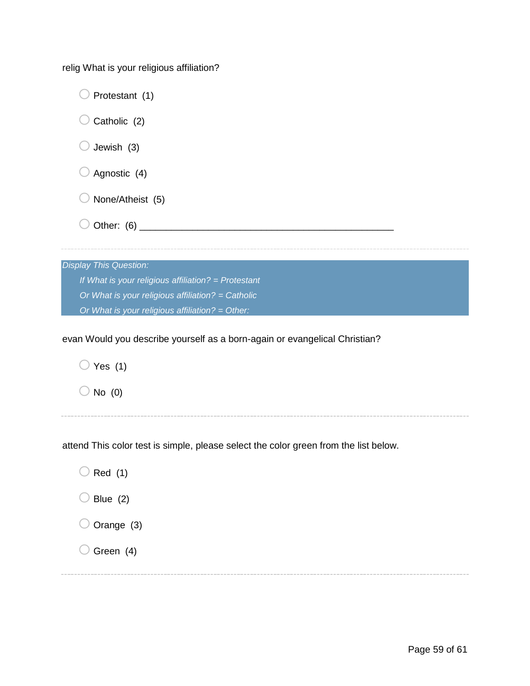relig What is your religious affiliation?

| Protestant (1)                                                                       |
|--------------------------------------------------------------------------------------|
| Catholic (2)                                                                         |
| Jewish (3)                                                                           |
| Agnostic (4)                                                                         |
| None/Atheist (5)                                                                     |
|                                                                                      |
| <b>Display This Question:</b>                                                        |
| If What is your religious affiliation? = Protestant                                  |
| Or What is your religious affiliation? = Catholic                                    |
| Or What is your religious affiliation? = Other:                                      |
| evan Would you describe yourself as a born-again or evangelical Christian?           |
| Yes $(1)$                                                                            |
| No $(0)$                                                                             |
| attend This color test is simple, please select the color green from the list below. |
| Red(1)                                                                               |
| Blue $(2)$                                                                           |

- $O$  Orange (3)
- $\bigcirc$  Green (4)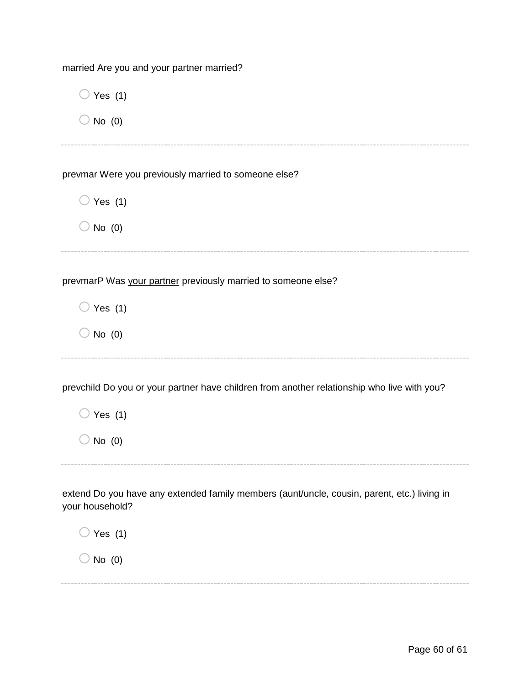| married Are you and your partner married?                                                                      |
|----------------------------------------------------------------------------------------------------------------|
| $\bigcirc$ Yes (1)                                                                                             |
| $\bigcirc$ No (0)                                                                                              |
|                                                                                                                |
| prevmar Were you previously married to someone else?                                                           |
| $\bigcirc$ Yes (1)                                                                                             |
| ) No (0)                                                                                                       |
|                                                                                                                |
| prevmarP Was your partner previously married to someone else?                                                  |
| $\bigcirc$ Yes (1)                                                                                             |
| <sup>)</sup> No (0)                                                                                            |
|                                                                                                                |
| prevchild Do you or your partner have children from another relationship who live with you?                    |
| Yes $(1)$                                                                                                      |
| No $(0)$                                                                                                       |
|                                                                                                                |
| extend Do you have any extended family members (aunt/uncle, cousin, parent, etc.) living in<br>your household? |
| Yes $(1)$                                                                                                      |
| No(0)                                                                                                          |

Page 60 of 61